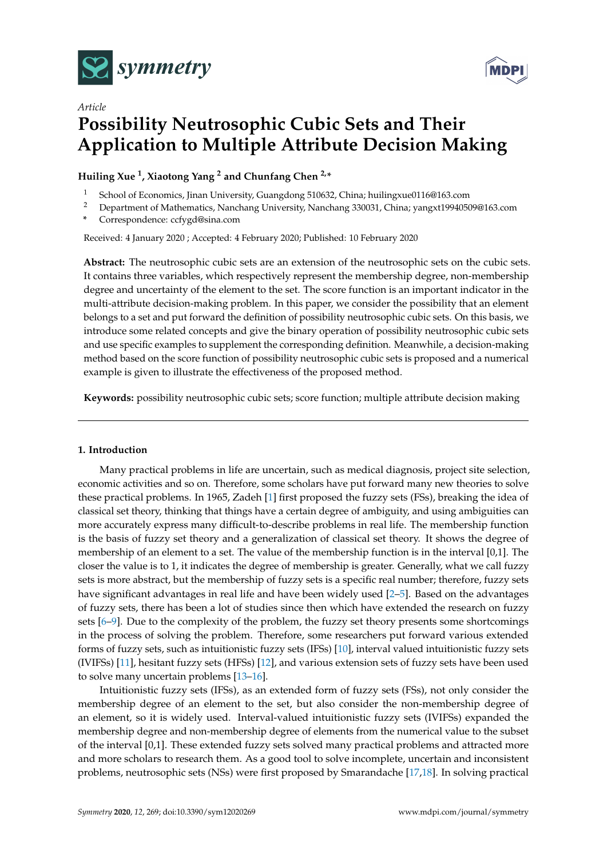



# *Article* **Possibility Neutrosophic Cubic Sets and Their Application to Multiple Attribute Decision Making**

# **Huiling Xue <sup>1</sup> , Xiaotong Yang <sup>2</sup> and Chunfang Chen 2,\***

- <sup>1</sup> School of Economics, Jinan University, Guangdong 510632, China; huilingxue0116@163.com
- <sup>2</sup> Department of Mathematics, Nanchang University, Nanchang 330031, China; yangxt19940509@163.com
- **\*** Correspondence: ccfygd@sina.com

Received: 4 January 2020 ; Accepted: 4 February 2020; Published: 10 February 2020

**Abstract:** The neutrosophic cubic sets are an extension of the neutrosophic sets on the cubic sets. It contains three variables, which respectively represent the membership degree, non-membership degree and uncertainty of the element to the set. The score function is an important indicator in the multi-attribute decision-making problem. In this paper, we consider the possibility that an element belongs to a set and put forward the definition of possibility neutrosophic cubic sets. On this basis, we introduce some related concepts and give the binary operation of possibility neutrosophic cubic sets and use specific examples to supplement the corresponding definition. Meanwhile, a decision-making method based on the score function of possibility neutrosophic cubic sets is proposed and a numerical example is given to illustrate the effectiveness of the proposed method.

**Keywords:** possibility neutrosophic cubic sets; score function; multiple attribute decision making

# **1. Introduction**

Many practical problems in life are uncertain, such as medical diagnosis, project site selection, economic activities and so on. Therefore, some scholars have put forward many new theories to solve these practical problems. In 1965, Zadeh [\[1\]](#page-15-0) first proposed the fuzzy sets (FSs), breaking the idea of classical set theory, thinking that things have a certain degree of ambiguity, and using ambiguities can more accurately express many difficult-to-describe problems in real life. The membership function is the basis of fuzzy set theory and a generalization of classical set theory. It shows the degree of membership of an element to a set. The value of the membership function is in the interval [0,1]. The closer the value is to 1, it indicates the degree of membership is greater. Generally, what we call fuzzy sets is more abstract, but the membership of fuzzy sets is a specific real number; therefore, fuzzy sets have significant advantages in real life and have been widely used [\[2](#page-15-1)-5]. Based on the advantages of fuzzy sets, there has been a lot of studies since then which have extended the research on fuzzy sets [\[6–](#page-15-3)[9\]](#page-15-4). Due to the complexity of the problem, the fuzzy set theory presents some shortcomings in the process of solving the problem. Therefore, some researchers put forward various extended forms of fuzzy sets, such as intuitionistic fuzzy sets (IFSs) [\[10\]](#page-15-5), interval valued intuitionistic fuzzy sets (IVIFSs) [\[11\]](#page-15-6), hesitant fuzzy sets (HFSs) [\[12\]](#page-15-7), and various extension sets of fuzzy sets have been used to solve many uncertain problems [\[13](#page-15-8)[–16\]](#page-15-9).

Intuitionistic fuzzy sets (IFSs), as an extended form of fuzzy sets (FSs), not only consider the membership degree of an element to the set, but also consider the non-membership degree of an element, so it is widely used. Interval-valued intuitionistic fuzzy sets (IVIFSs) expanded the membership degree and non-membership degree of elements from the numerical value to the subset of the interval [0,1]. These extended fuzzy sets solved many practical problems and attracted more and more scholars to research them. As a good tool to solve incomplete, uncertain and inconsistent problems, neutrosophic sets (NSs) were first proposed by Smarandache [\[17](#page-15-10)[,18\]](#page-15-11). In solving practical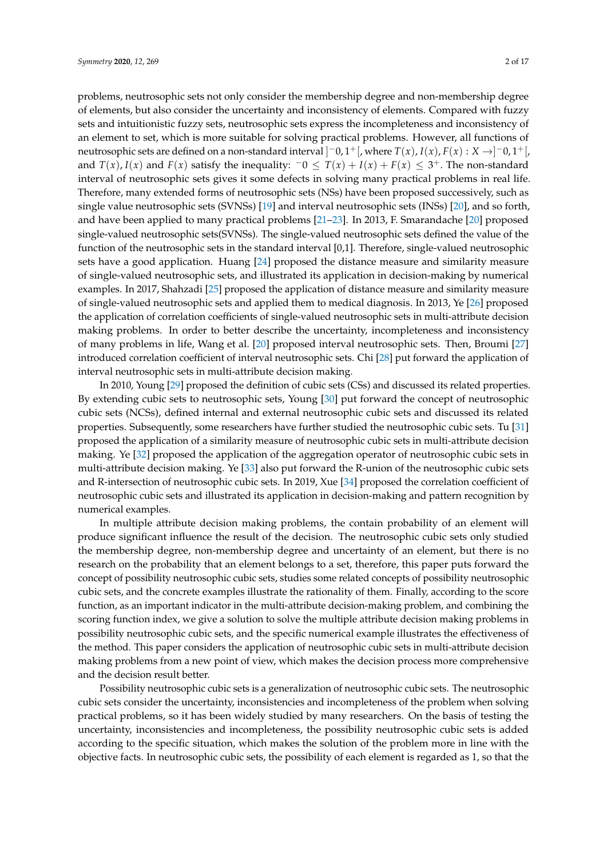problems, neutrosophic sets not only consider the membership degree and non-membership degree of elements, but also consider the uncertainty and inconsistency of elements. Compared with fuzzy sets and intuitionistic fuzzy sets, neutrosophic sets express the incompleteness and inconsistency of an element to set, which is more suitable for solving practical problems. However, all functions of neutrosophic sets are defined on a non-standard interval  $]$  <sup>-</sup> 0, 1<sup>+</sup> [, where  $T(x)$ ,  $I(x)$ ,  $F(x): X \rightarrow ]$  <sup>-</sup> 0, 1<sup>+</sup> [, and  $T(x)$ ,  $I(x)$  and  $F(x)$  satisfy the inequality:  $\overline{0} \leq T(x) + I(x) + F(x) \leq 3^+$ . The non-standard interval of neutrosophic sets gives it some defects in solving many practical problems in real life. Therefore, many extended forms of neutrosophic sets (NSs) have been proposed successively, such as single value neutrosophic sets (SVNSs) [\[19\]](#page-15-12) and interval neutrosophic sets (INSs) [\[20\]](#page-15-13), and so forth, and have been applied to many practical problems [\[21–](#page-15-14)[23\]](#page-16-0). In 2013, F. Smarandache [\[20\]](#page-15-13) proposed single-valued neutrosophic sets(SVNSs). The single-valued neutrosophic sets defined the value of the function of the neutrosophic sets in the standard interval [0,1]. Therefore, single-valued neutrosophic sets have a good application. Huang [\[24\]](#page-16-1) proposed the distance measure and similarity measure of single-valued neutrosophic sets, and illustrated its application in decision-making by numerical examples. In 2017, Shahzadi [\[25\]](#page-16-2) proposed the application of distance measure and similarity measure of single-valued neutrosophic sets and applied them to medical diagnosis. In 2013, Ye [\[26\]](#page-16-3) proposed the application of correlation coefficients of single-valued neutrosophic sets in multi-attribute decision making problems. In order to better describe the uncertainty, incompleteness and inconsistency of many problems in life, Wang et al. [\[20\]](#page-15-13) proposed interval neutrosophic sets. Then, Broumi [\[27\]](#page-16-4) introduced correlation coefficient of interval neutrosophic sets. Chi [\[28\]](#page-16-5) put forward the application of interval neutrosophic sets in multi-attribute decision making.

In 2010, Young [\[29\]](#page-16-6) proposed the definition of cubic sets (CSs) and discussed its related properties. By extending cubic sets to neutrosophic sets, Young [\[30\]](#page-16-7) put forward the concept of neutrosophic cubic sets (NCSs), defined internal and external neutrosophic cubic sets and discussed its related properties. Subsequently, some researchers have further studied the neutrosophic cubic sets. Tu [\[31\]](#page-16-8) proposed the application of a similarity measure of neutrosophic cubic sets in multi-attribute decision making. Ye [\[32\]](#page-16-9) proposed the application of the aggregation operator of neutrosophic cubic sets in multi-attribute decision making. Ye [\[33\]](#page-16-10) also put forward the R-union of the neutrosophic cubic sets and R-intersection of neutrosophic cubic sets. In 2019, Xue [\[34\]](#page-16-11) proposed the correlation coefficient of neutrosophic cubic sets and illustrated its application in decision-making and pattern recognition by numerical examples.

In multiple attribute decision making problems, the contain probability of an element will produce significant influence the result of the decision. The neutrosophic cubic sets only studied the membership degree, non-membership degree and uncertainty of an element, but there is no research on the probability that an element belongs to a set, therefore, this paper puts forward the concept of possibility neutrosophic cubic sets, studies some related concepts of possibility neutrosophic cubic sets, and the concrete examples illustrate the rationality of them. Finally, according to the score function, as an important indicator in the multi-attribute decision-making problem, and combining the scoring function index, we give a solution to solve the multiple attribute decision making problems in possibility neutrosophic cubic sets, and the specific numerical example illustrates the effectiveness of the method. This paper considers the application of neutrosophic cubic sets in multi-attribute decision making problems from a new point of view, which makes the decision process more comprehensive and the decision result better.

Possibility neutrosophic cubic sets is a generalization of neutrosophic cubic sets. The neutrosophic cubic sets consider the uncertainty, inconsistencies and incompleteness of the problem when solving practical problems, so it has been widely studied by many researchers. On the basis of testing the uncertainty, inconsistencies and incompleteness, the possibility neutrosophic cubic sets is added according to the specific situation, which makes the solution of the problem more in line with the objective facts. In neutrosophic cubic sets, the possibility of each element is regarded as 1, so that the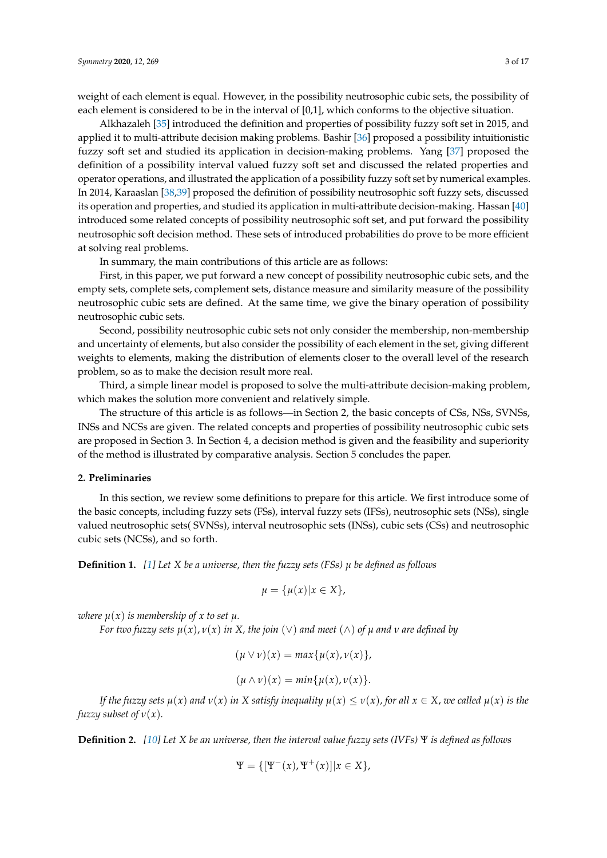weight of each element is equal. However, in the possibility neutrosophic cubic sets, the possibility of each element is considered to be in the interval of [0,1], which conforms to the objective situation.

Alkhazaleh [\[35\]](#page-16-12) introduced the definition and properties of possibility fuzzy soft set in 2015, and applied it to multi-attribute decision making problems. Bashir [\[36\]](#page-16-13) proposed a possibility intuitionistic fuzzy soft set and studied its application in decision-making problems. Yang [\[37\]](#page-16-14) proposed the definition of a possibility interval valued fuzzy soft set and discussed the related properties and operator operations, and illustrated the application of a possibility fuzzy soft set by numerical examples. In 2014, Karaaslan [\[38,](#page-16-15)[39\]](#page-16-16) proposed the definition of possibility neutrosophic soft fuzzy sets, discussed its operation and properties, and studied its application in multi-attribute decision-making. Hassan [\[40\]](#page-16-17) introduced some related concepts of possibility neutrosophic soft set, and put forward the possibility neutrosophic soft decision method. These sets of introduced probabilities do prove to be more efficient at solving real problems.

In summary, the main contributions of this article are as follows:

First, in this paper, we put forward a new concept of possibility neutrosophic cubic sets, and the empty sets, complete sets, complement sets, distance measure and similarity measure of the possibility neutrosophic cubic sets are defined. At the same time, we give the binary operation of possibility neutrosophic cubic sets.

Second, possibility neutrosophic cubic sets not only consider the membership, non-membership and uncertainty of elements, but also consider the possibility of each element in the set, giving different weights to elements, making the distribution of elements closer to the overall level of the research problem, so as to make the decision result more real.

Third, a simple linear model is proposed to solve the multi-attribute decision-making problem, which makes the solution more convenient and relatively simple.

The structure of this article is as follows—in Section 2, the basic concepts of CSs, NSs, SVNSs, INSs and NCSs are given. The related concepts and properties of possibility neutrosophic cubic sets are proposed in Section 3. In Section 4, a decision method is given and the feasibility and superiority of the method is illustrated by comparative analysis. Section 5 concludes the paper.

## **2. Preliminaries**

In this section, we review some definitions to prepare for this article. We first introduce some of the basic concepts, including fuzzy sets (FSs), interval fuzzy sets (IFSs), neutrosophic sets (NSs), single valued neutrosophic sets( SVNSs), interval neutrosophic sets (INSs), cubic sets (CSs) and neutrosophic cubic sets (NCSs), and so forth.

**Definition 1.** *[\[1\]](#page-15-0) Let X be a universe, then the fuzzy sets (FSs) µ be defined as follows*

$$
\mu = \{\mu(x)|x \in X\},\
$$

*where*  $\mu(x)$  *is membership of x to set*  $\mu$ *.* 

*For two fuzzy sets*  $\mu(x)$ ,  $\nu(x)$  *in X*, *the join* ( $\vee$ ) *and meet* ( $\wedge$ ) *of*  $\mu$  *and*  $\nu$  *are defined by* 

$$
(\mu \vee \nu)(x) = \max{\mu(x), \nu(x)},
$$

$$
(\mu \wedge \nu)(x) = \min\{\mu(x), \nu(x)\}.
$$

If the fuzzy sets  $\mu(x)$  and  $\nu(x)$  in X satisfy inequality  $\mu(x) \le \nu(x)$ , for all  $x \in X$ , we called  $\mu(x)$  is the *fuzzy subset of*  $v(x)$ *.* 

**Definition 2.** *[\[10\]](#page-15-5) Let X be an universe, then the interval value fuzzy sets (IVFs)* Ψ *is defined as follows*

$$
\Psi = \{ [\Psi^-(x), \Psi^+(x)] | x \in X \},
$$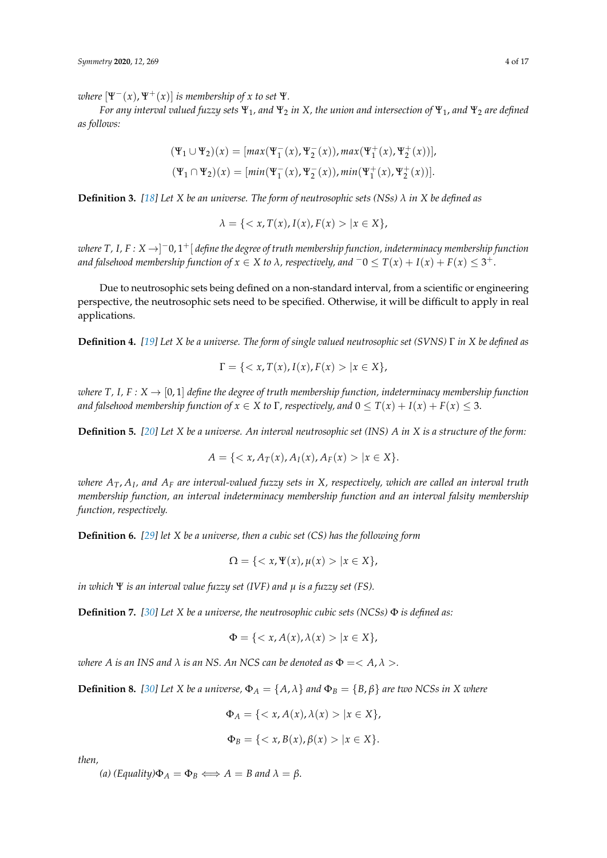*where*  $[\Psi^-(x), \Psi^+(x)]$  *is membership of x to set*  $\Psi$ *.* 

*For any interval valued fuzzy sets* Ψ1*, and* Ψ<sup>2</sup> *in X, the union and intersection of* Ψ1, *and* Ψ<sup>2</sup> *are defined as follows:*

$$
(\Psi_1 \cup \Psi_2)(x) = [max(\Psi_1^-(x), \Psi_2^-(x)), max(\Psi_1^+(x), \Psi_2^+(x))],
$$
  

$$
(\Psi_1 \cap \Psi_2)(x) = [min(\Psi_1^-(x), \Psi_2^-(x)), min(\Psi_1^+(x), \Psi_2^+(x))].
$$

**Definition 3.** *[\[18\]](#page-15-11) Let X be an universe. The form of neutrosophic sets (NSs) λ in X be defined as*

$$
\lambda = \{ \langle x, T(x), I(x), F(x) \rangle \mid x \in X \},\
$$

*where T, I, F : X* →] <sup>−</sup>0, 1+[ *define the degree of truth membership function, indeterminacy membership function and falsehood membership function of*  $x \in X$  *to*  $\lambda$ *, respectively, and*  $^-\overline{0} \leq T(x) + I(x) + F(x) \leq 3^+$ *.* 

Due to neutrosophic sets being defined on a non-standard interval, from a scientific or engineering perspective, the neutrosophic sets need to be specified. Otherwise, it will be difficult to apply in real applications.

**Definition 4.** *[\[19\]](#page-15-12) Let X be a universe. The form of single valued neutrosophic set (SVNS)* Γ *in X be defined as*

$$
\Gamma = \{ \langle x, T(x), I(x), F(x) \rangle \mid x \in X \},\
$$

*where*  $T$ ,  $I$ ,  $F: X \rightarrow [0, 1]$  *define the degree of truth membership function, indeterminacy membership function and falsehood membership function of*  $x \in X$  *to*  $\Gamma$ *, respectively, and*  $0 \leq T(x) + I(x) + F(x) \leq 3$ .

**Definition 5.** *[\[20\]](#page-15-13) Let X be a universe. An interval neutrosophic set (INS) A in X is a structure of the form:*

$$
A = \{ \langle x, A_T(x), A_I(x), A_F(x) \rangle \mid x \in X \}.
$$

*where AT*, *A<sup>I</sup> , and A<sup>F</sup> are interval-valued fuzzy sets in X, respectively, which are called an interval truth membership function, an interval indeterminacy membership function and an interval falsity membership function, respectively.*

**Definition 6.** *[\[29\]](#page-16-6) let X be a universe, then a cubic set (CS) has the following form*

$$
\Omega = \{ \langle x, \Psi(x), \mu(x) \rangle \mid x \in X \},
$$

*in which* Ψ *is an interval value fuzzy set (IVF) and µ is a fuzzy set (FS).*

**Definition 7.** *[\[30\]](#page-16-7) Let X be a universe, the neutrosophic cubic sets (NCSs)* Φ *is defined as:*

$$
\Phi = \{ \langle x, A(x), \lambda(x) \rangle \mid x \in X \},\
$$

*where A is an INS and*  $\lambda$  *is an NS. An NCS can be denoted as*  $\Phi = \langle A, \lambda \rangle$ .

**Definition 8.** [\[30\]](#page-16-7) Let X be a universe,  $\Phi_A = \{A, \lambda\}$  and  $\Phi_B = \{B, \beta\}$  are two NCSs in X where

$$
\Phi_A = \{ \langle x, A(x), \lambda(x) \rangle \mid x \in X \},
$$
  

$$
\Phi_B = \{ \langle x, B(x), \beta(x) \rangle \mid x \in X \}.
$$

*then,*

*(a)* (Equality) $\Phi_A = \Phi_B \Longleftrightarrow A = B$  and  $\lambda = \beta$ .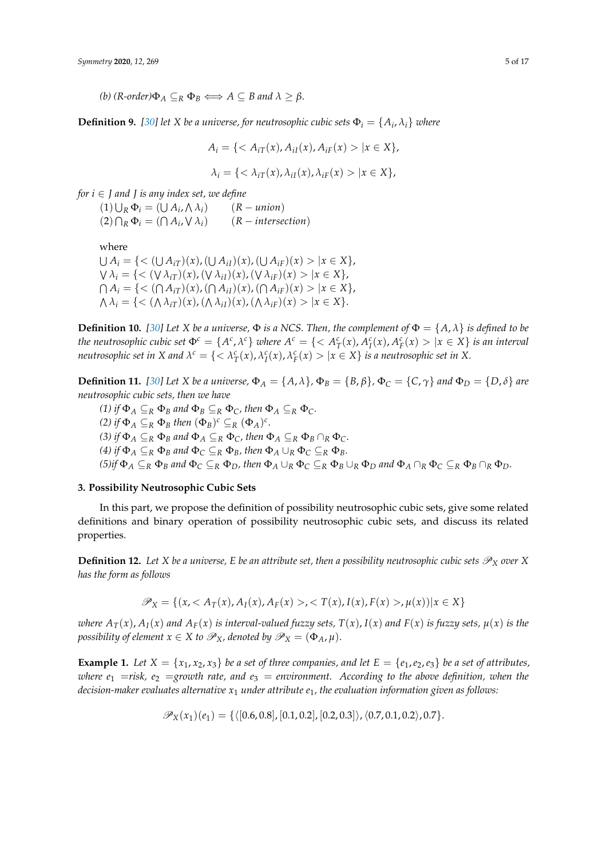*(b)*  $(R\text{-}order)\Phi_A \subseteq_R \Phi_B \iff A \subseteq B$  and  $\lambda \geq \beta$ .

**Definition 9.** [\[30\]](#page-16-7) let X be a universe, for neutrosophic cubic sets  $\Phi_i = \{A_i, \lambda_i\}$  where

$$
A_i = \{ \langle A_{iT}(x), A_{iI}(x), A_{iF}(x) \rangle \mid x \in X \},\
$$

$$
\lambda_i = \{ \langle \lambda_{iT}(x), \lambda_{iI}(x), \lambda_{iF}(x) \rangle | x \in X \},
$$

*for*  $i \in J$  *and J is any index set, we define* 

 $(1) \bigcup_R \Phi_i = (\bigcup A_i, \bigwedge \lambda_i)$   $(R - union)$  $\mathbf{D}(2) \cap_R \Phi_i = (\bigcap A_i, \bigvee A_i)$  (*R* − *intersection*)

where

 $\bigcup A_i = \{ \langle \bigcup A_{iT} \rangle(x), (\bigcup A_{iI})(x), (\bigcup A_{iF})(x) > | x \in X \},\$  $\bigvee \lambda_i = \{ \langle (\bigvee \lambda_{iT})(x), (\bigvee \lambda_{iI})(x), (\bigvee \lambda_{iF})(x) > | x \in X \},\$  $\bigcap A_i = \{ \langle \bigcap A_{iT} \rangle(x), (\bigcap A_{iI})(x), (\bigcap A_{iF})(x) > | x \in X \},\$  $\Lambda \lambda_i = \{ \langle (\Lambda \lambda_{iT})(x), (\Lambda \lambda_{iI})(x), (\Lambda \lambda_{iF})(x) \rangle | x \in X \}.$ 

**Definition 10.** [\[30\]](#page-16-7) Let *X* be a universe,  $\Phi$  is a NCS. Then, the complement of  $\Phi = \{A, \lambda\}$  is defined to be the neutrosophic cubic set  $\Phi^c = \{A^c, \lambda^c\}$  where  $A^c = \{< A_T^c(x), A_I^c(x), A_F^c(x) > |x \in X\}$  is an interval neutrosophic set in X and  $\lambda^c = \{ <\lambda^c_T(x), \lambda^c_I(x), \lambda^c_F(x) > |x \in X \}$  is a neutrosophic set in X.

**Definition 11.** [\[30\]](#page-16-7) Let X be a universe,  $\Phi_A = \{A, \lambda\}$ ,  $\Phi_B = \{B, \beta\}$ ,  $\Phi_C = \{C, \gamma\}$  and  $\Phi_D = \{D, \delta\}$  are *neutrosophic cubic sets, then we have*

*(1) if*  $\Phi_A \subseteq_R \Phi_B$  *and*  $\Phi_B \subseteq_R \Phi_C$ *, then*  $\Phi_A \subseteq_R \Phi_C$ *. (2) if*  $\Phi_A \subseteq_R \Phi_B$  *then*  $(\Phi_B)^c \subseteq_R (\Phi_A)^c$ . *(3) if*  $\Phi_A \subseteq_R \Phi_B$  *and*  $\Phi_A \subseteq_R \Phi_C$ *, then*  $\Phi_A \subseteq_R \Phi_B \cap_R \Phi_C$ . (4) if  $\Phi_A \subseteq_R \Phi_B$  and  $\Phi_C \subseteq_R \Phi_B$ , then  $\Phi_A \cup_R \Phi_C \subseteq_R \Phi_B$ . (5) if  $\Phi_A \subseteq_R \Phi_B$  and  $\Phi_C \subseteq_R \Phi_D$ , then  $\Phi_A \cup_R \Phi_C \subseteq_R \Phi_B \cup_R \Phi_D$  and  $\Phi_A \cap_R \Phi_C \subseteq_R \Phi_B \cap_R \Phi_D$ .

# **3. Possibility Neutrosophic Cubic Sets**

In this part, we propose the definition of possibility neutrosophic cubic sets, give some related definitions and binary operation of possibility neutrosophic cubic sets, and discuss its related properties.

**Definition 12.** Let *X* be a universe, *E* be an attribute set, then a possibility neutrosophic cubic sets  $\mathscr{P}_X$  over *X has the form as follows*

$$
\mathscr{P}_X = \{(x, < A_T(x), A_I(x), A_F(x) > \, < T(x), I(x), F(x) > \, \mu(x)) | x \in X\}
$$

where  $A_T(x)$ ,  $A_I(x)$  and  $A_F(x)$  is interval-valued fuzzy sets,  $T(x)$ ,  $I(x)$  and  $F(x)$  is fuzzy sets,  $\mu(x)$  is the *possibility of element*  $x \in X$  *to*  $\mathscr{P}_X$ *, denoted by*  $\mathscr{P}_X = (\Phi_A, \mu)$ *.* 

**Example 1.** Let  $X = \{x_1, x_2, x_3\}$  be a set of three companies, and let  $E = \{e_1, e_2, e_3\}$  be a set of attributes, *where*  $e_1$  =*risk,*  $e_2$  =*growth rate, and*  $e_3$  = *environment. According to the above definition, when the decision-maker evaluates alternative x*<sup>1</sup> *under attribute e*1*, the evaluation information given as follows:*

$$
\mathscr{P}_X(x_1)(e_1) = \{ \langle [0.6, 0.8], [0.1, 0.2], [0.2, 0.3] \rangle, \langle 0.7, 0.1, 0.2 \rangle, 0.7 \}.
$$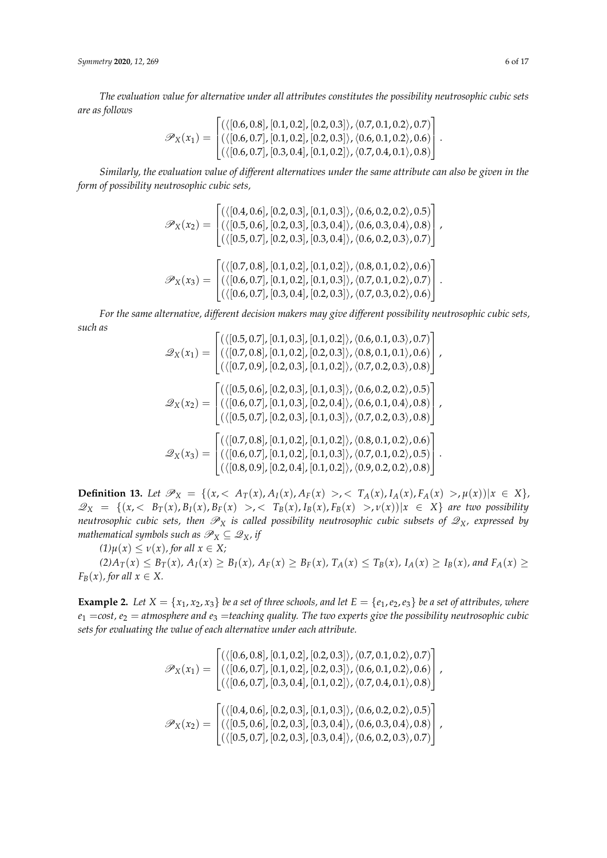*The evaluation value for alternative under all attributes constitutes the possibility neutrosophic cubic sets are as follows*

$$
\mathscr{P}_X(x_1) = \begin{bmatrix} (\langle [0.6, 0.8], [0.1, 0.2], [0.2, 0.3] \rangle, \langle 0.7, 0.1, 0.2, 0.7] \\ (\langle [0.6, 0.7], [0.1, 0.2], [0.2, 0.3] \rangle, \langle 0.6, 0.1, 0.2 \rangle, 0.6) \\ (\langle [0.6, 0.7], [0.3, 0.4], [0.1, 0.2] \rangle, \langle 0.7, 0.4, 0.1 \rangle, 0.8) \end{bmatrix}.
$$

*Similarly, the evaluation value of different alternatives under the same attribute can also be given in the form of possibility neutrosophic cubic sets,*

$$
\mathscr{P}_X(x_2) = \begin{bmatrix} (\langle [0.4, 0.6], [0.2, 0.3], [0.1, 0.3] \rangle, \langle 0.6, 0.2, 0.2 \rangle, 0.5) \\ (\langle [0.5, 0.6], [0.2, 0.3], [0.3, 0.4] \rangle, \langle 0.6, 0.3, 0.4 \rangle, 0.8) \\ (\langle [0.5, 0.7], [0.2, 0.3], [0.3, 0.4] \rangle, \langle 0.6, 0.2, 0.3 \rangle, 0.7) \end{bmatrix},
$$

$$
\mathscr{P}_X(x_3) = \begin{bmatrix} (\langle [0.7, 0.8], [0.1, 0.2], [0.1, 0.2] \rangle, \langle 0.8, 0.1, 0.2 \rangle, 0.6) \\ (\langle [0.6, 0.7], [0.1, 0.2], [0.1, 0.3] \rangle, \langle 0.7, 0.1, 0.2 \rangle, 0.7) \\ (\langle [0.6, 0.7], [0.3, 0.4], [0.2, 0.3] \rangle, \langle 0.7, 0.3, 0.2 \rangle, 0.6) \end{bmatrix}.
$$

*For the same alternative, different decision makers may give different possibility neutrosophic cubic sets, such as*

$$
\mathcal{D}_X(x_1) = \begin{bmatrix} (\langle [0.5, 0.7], [0.1, 0.3], [0.1, 0.2] \rangle, \langle 0.6, 0.1, 0.3 \rangle, 0.7) \\ (\langle [0.7, 0.8], [0.1, 0.2], [0.2, 0.3] \rangle, \langle 0.8, 0.1, 0.1 \rangle, 0.6) \\ (\langle [0.7, 0.9], [0.2, 0.3], [0.1, 0.2] \rangle, \langle 0.7, 0.2, 0.3 \rangle, 0.8) \end{bmatrix},
$$
  

$$
\mathcal{D}_X(x_2) = \begin{bmatrix} (\langle [0.5, 0.6], [0.2, 0.3], [0.1, 0.3] \rangle, \langle 0.6, 0.2, 0.2 \rangle, 0.5) \\ (\langle [0.6, 0.7], [0.1, 0.3], [0.2, 0.4] \rangle, \langle 0.6, 0.1, 0.4 \rangle, 0.8) \\ (\langle [0.5, 0.7], [0.2, 0.3], [0.1, 0.3] \rangle, \langle 0.7, 0.2, 0.3 \rangle, 0.8) \end{bmatrix},
$$
  

$$
\mathcal{D}_X(x_3) = \begin{bmatrix} (\langle [0.7, 0.8], [0.1, 0.2], [0.1, 0.3] \rangle, \langle 0.8, 0.1, 0.2 \rangle, 0.6) \\ (\langle [0.6, 0.7], [0.1, 0.2], [0.1, 0.3] \rangle, \langle 0.7, 0.1, 0.2 \rangle, 0.5) \\ (\langle [0.8, 0.9], [0.2, 0.4], [0.1, 0.2] \rangle, \langle 0.9, 0.2, 0.2 \rangle, 0.8) \end{bmatrix}.
$$

**Definition 13.** Let  $\mathcal{P}_X = \{(x, \langle A_T(x), A_I(x), A_F(x) \rangle, \langle A_F(x), I_A(x), A_I(x), \rangle, \langle A_F(x) \rangle | x \in X\},\$  $\mathcal{Q}_X = \{(x, \langle B_T(x), B_I(x), B_F(x) \rangle, \langle T_B(x), I_B(x), F_B(x) \rangle, \langle T_B(x), I_B(x) \rangle\}$  are two possibility *neutrosophic cubic sets, then*  $\mathcal{P}_X$  *is called possibility neutrosophic cubic subsets of*  $\mathcal{Q}_X$ *, expressed by mathematical symbols such as*  $\mathscr{P}_X \subseteq \mathscr{Q}_X$ *, if* 

 $(1)\mu(x) \leq \nu(x)$ , for all  $x \in X$ ;

 $(2)A_T(x) \leq B_T(x)$ ,  $A_I(x) \geq B_I(x)$ ,  $A_F(x) \geq B_F(x)$ ,  $T_A(x) \leq T_B(x)$ ,  $I_A(x) \geq I_B(x)$ , and  $F_A(x) \geq$  $F_B(x)$ *, for all*  $x \in X$ *.* 

**Example 2.** Let  $X = \{x_1, x_2, x_3\}$  be a set of three schools, and let  $E = \{e_1, e_2, e_3\}$  be a set of attributes, where  $e_1 = \cos t$ ,  $e_2 = \text{atmosphere}$  and  $e_3 = \text{teaching quality}$ . The two experts give the possibility neutrosophic cubic *sets for evaluating the value of each alternative under each attribute.*

$$
\mathscr{P}_X(x_1) = \begin{bmatrix} (\langle [0.6, 0.8], [0.1, 0.2], [0.2, 0.3] \rangle, \langle 0.7, 0.1, 0.2 \rangle, 0.7) \\ (\langle [0.6, 0.7], [0.1, 0.2], [0.2, 0.3] \rangle, \langle 0.6, 0.1, 0.2 \rangle, 0.6) \\ (\langle [0.6, 0.7], [0.3, 0.4], [0.1, 0.2] \rangle, \langle 0.7, 0.4, 0.1 \rangle, 0.8) \end{bmatrix},
$$
  

$$
\mathscr{P}_X(x_2) = \begin{bmatrix} (\langle [0.4, 0.6], [0.2, 0.3], [0.1, 0.3] \rangle, \langle 0.6, 0.2, 0.2 \rangle, 0.5) \\ (\langle [0.5, 0.6], [0.2, 0.3], [0.3, 0.4] \rangle, \langle 0.6, 0.3, 0.4 \rangle, 0.8) \\ (\langle [0.5, 0.7], [0.2, 0.3], [0.3, 0.4] \rangle, \langle 0.6, 0.2, 0.3 \rangle, 0.7) \end{bmatrix},
$$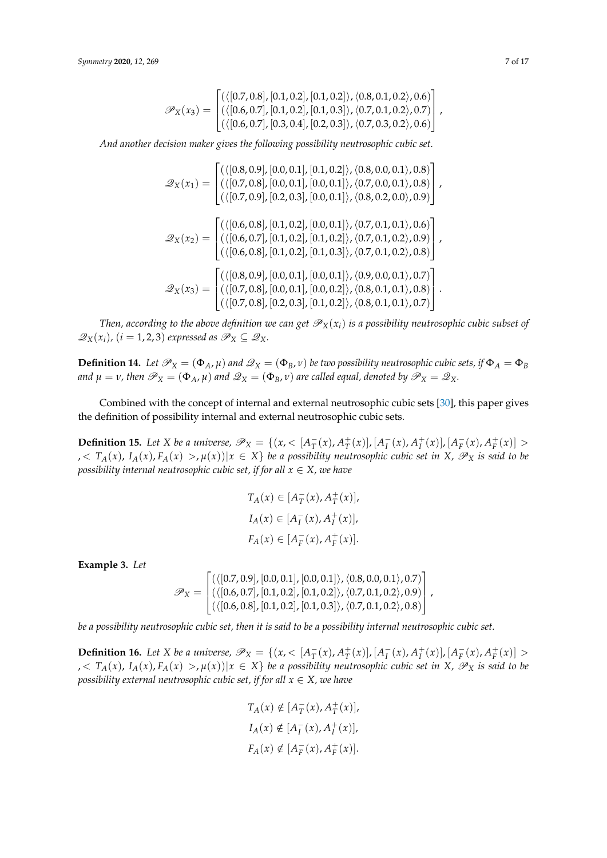$$
\mathscr{P}_X(x_3) = \begin{bmatrix} (\langle [0.7, 0.8], [0.1, 0.2], [0.1, 0.2] \rangle, \langle 0.8, 0.1, 0.2, 0.6 \rangle \\ (\langle [0.6, 0.7], [0.1, 0.2], [0.1, 0.3] \rangle, \langle 0.7, 0.1, 0.2 \rangle, 0.7) \\ (\langle [0.6, 0.7], [0.3, 0.4], [0.2, 0.3] \rangle, \langle 0.7, 0.3, 0.2 \rangle, 0.6) \end{bmatrix},
$$

*And another decision maker gives the following possibility neutrosophic cubic set.*

$$
\mathcal{Q}_X(x_1) = \begin{bmatrix}\n\langle \langle [0.8, 0.9], [0.0, 0.1], [0.1, 0.2] \rangle, \langle 0.8, 0.0, 0.1 \rangle, 0.8) \\
\langle \langle [0.7, 0.8], [0.0, 0.1], [0.0, 0.1] \rangle, \langle 0.7, 0.0, 0.1 \rangle, 0.8) \\
\langle \langle [0.7, 0.9], [0.2, 0.3], [0.0, 0.1] \rangle, \langle 0.8, 0.2, 0.0 \rangle, 0.9)\n\end{bmatrix},
$$
\n
$$
\mathcal{Q}_X(x_2) = \begin{bmatrix}\n\langle \langle [0.6, 0.8], [0.1, 0.2], [0.0, 0.1] \rangle, \langle 0.7, 0.1, 0.1 \rangle, 0.6) \\
\langle \langle [0.6, 0.7], [0.1, 0.2], [0.1, 0.2] \rangle, \langle 0.7, 0.1, 0.2 \rangle, 0.9) \\
\langle \langle [0.6, 0.8], [0.1, 0.2], [0.1, 0.3] \rangle, \langle 0.7, 0.1, 0.2 \rangle, 0.8)\n\end{bmatrix},
$$
\n
$$
\mathcal{Q}_X(x_3) = \begin{bmatrix}\n\langle \langle [0.8, 0.9], [0.0, 0.1], [0.0, 0.1] \rangle, \langle 0.9, 0.0, 0.1, 0.07) \\
\langle \langle [0.7, 0.8], [0.0, 0.1], [0.0, 0.2] \rangle, \langle 0.8, 0.1, 0.1 \rangle, 0.8)\n\end{bmatrix},
$$
\n
$$
\mathcal{Q}_X(x_3) = \begin{bmatrix}\n\langle \langle [0.7, 0.8], [0.0, 0.1], [0.0, 0.2] \rangle, \langle 0.8, 0.1, 0.1 \rangle, 0.7) \\
\langle \langle [0.7, 0.8], [0.2, 0.3], [0.1, 0.2] \rangle, \langle 0.8, 0.1, 0.1 \rangle, 0.7)\n\end{bmatrix}.
$$

*Then, according to the above definition we can get*  $\mathcal{P}_X(x_i)$  *is a possibility neutrosophic cubic subset of*  $\mathscr{Q}_X(x_i)$ ,  $(i = 1, 2, 3)$  *expressed as*  $\mathscr{P}_X \subseteq \mathscr{Q}_X$ *.* 

**Definition 14.** Let  $\mathscr{P}_X = (\Phi_A, \mu)$  and  $\mathscr{Q}_X = (\Phi_B, \nu)$  be two possibility neutrosophic cubic sets, if  $\Phi_A = \Phi_B$ *and*  $\mu = \nu$ , then  $\mathscr{P}_X = (\Phi_A, \mu)$  and  $\mathscr{Q}_X = (\Phi_B, \nu)$  are called equal, denoted by  $\mathscr{P}_X = \mathscr{Q}_X$ .

Combined with the concept of internal and external neutrosophic cubic sets [\[30\]](#page-16-7), this paper gives the definition of possibility internal and external neutrosophic cubic sets.

**Definition 15.** Let X be a universe,  $\mathscr{P}_X = \{(x, \langle [A_T^-(x), A_T^+(x)], [A_I^-(x), A_I^+(x)], [A_F^-(x), A_F^+(x)]\rangle\}$  $I_x < T_A(x)$ ,  $I_A(x)$ ,  $F_A(x) > \mu(x)$ ,  $|x \in X$  *be a possibility neutrosophic cubic set in X*,  $\mathscr{P}_X$  *is said to be possibility internal neutrosophic cubic set, if for all*  $x \in X$ *, we have* 

$$
T_A(x) \in [A_T^-(x), A_T^+(x)],
$$
  
\n
$$
I_A(x) \in [A_I^-(x), A_I^+(x)],
$$
  
\n
$$
F_A(x) \in [A_F^-(x), A_F^+(x)].
$$

**Example 3.** *Let*

$$
\mathscr{P}_X = \begin{bmatrix} (\langle [0.7, 0.9], [0.0, 0.1], [0.0, 0.1]), \langle 0.8, 0.0, 0.1 \rangle, 0.7) \\ (\langle [0.6, 0.7], [0.1, 0.2], [0.1, 0.2] \rangle, \langle 0.7, 0.1, 0.2 \rangle, 0.9) \\ (\langle [0.6, 0.8], [0.1, 0.2], [0.1, 0.3] \rangle, \langle 0.7, 0.1, 0.2 \rangle, 0.8) \end{bmatrix},
$$

*be a possibility neutrosophic cubic set, then it is said to be a possibility internal neutrosophic cubic set.*

**Definition 16.** Let X be a universe,  $\mathscr{P}_X = \{(x, \langle [A_T^-(x), A_T^+(x)], [A_I^-(x), A_I^+(x)], [A_F^-(x), A_F^+(x)]\rangle\}$  $\mathcal{F}_A(x)$ ,  $I_A(x)$ ,  $F_A(x) > \mu(x) |x \in X$  *be a possibility neutrosophic cubic set in* X,  $\mathcal{P}_X$  *is said to be possibility external neutrosophic cubic set, if for all x* ∈ *X, we have*

$$
T_A(x) \notin [A_T^-(x), A_T^+(x)],
$$
  
\n
$$
I_A(x) \notin [A_I^-(x), A_I^+(x)],
$$
  
\n
$$
F_A(x) \notin [A_F^-(x), A_F^+(x)].
$$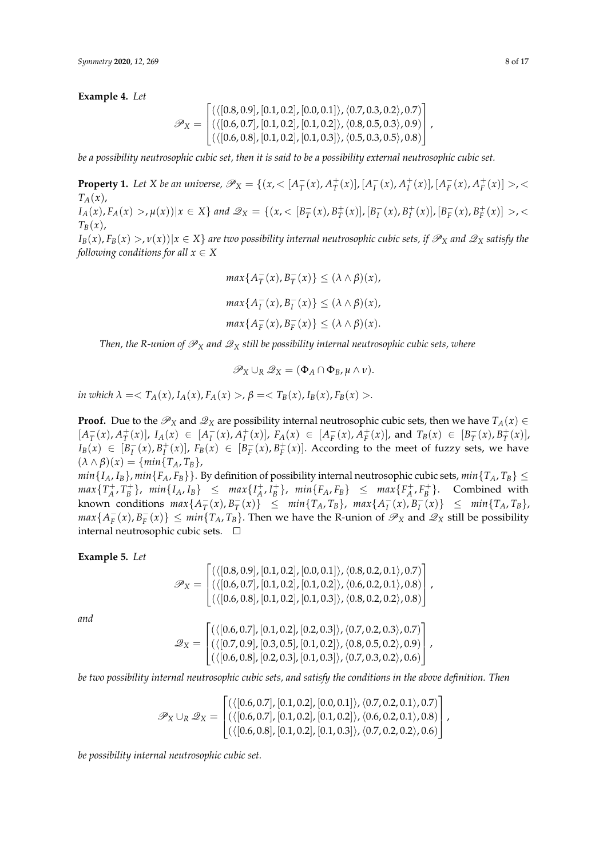**Example 4.** *Let*

 $T_B(x)$ ,

$$
\mathscr{P}_X = \begin{bmatrix} (\langle [0.8, 0.9], [0.1, 0.2], [0.0, 0.1] \rangle, \langle 0.7, 0.3, 0.2 \rangle, 0.7) \\ (\langle [0.6, 0.7], [0.1, 0.2], [0.1, 0.2] \rangle, \langle 0.8, 0.5, 0.3 \rangle, 0.9) \\ (\langle [0.6, 0.8], [0.1, 0.2], [0.1, 0.3] \rangle, \langle 0.5, 0.3, 0.5 \rangle, 0.8) \end{bmatrix},
$$

*be a possibility neutrosophic cubic set, then it is said to be a possibility external neutrosophic cubic set.*

**Property 1.** Let X be an universe,  $\mathscr{P}_X = \{(x, \langle [A_T^-(x), A_T^+(x)], [A_I^-(x), A_I^+(x)], [A_F^-(x), A_F^+(x)]\rangle\}$ *TA*(*x*),  $I_A(x), F_A(x) > \mu(x) |x \in X$  and  $\mathcal{Q}_X = \{(x, \langle [B_T^-(x), B_T^+(x)], [B_I^-(x), B_I^+(x)], [B_F^-(x), B_F^+(x)] \rangle\}$ 

 $I_B(x)$ ,  $F_B(x) > v(x)$ ,  $x \in X$  *are two possibility internal neutrosophic cubic sets, if*  $\mathcal{P}_X$  *<i>and*  $\mathcal{Q}_X$  *satisfy the following conditions for all*  $x \in X$ 

> $max{A_T^-(x), B_T^-(x)} \leq (\lambda \wedge \beta)(x),$  $max{A_{I}^{-}(x), B_{I}^{-}(x)} \leq (\lambda \wedge \beta)(x),$ *max* ${A_F^-(x), B_F^-(x)} \leq (\lambda \wedge \beta)(x)$ .

*Then, the R-union of*  $\mathcal{P}_X$  *and*  $\mathcal{Q}_X$  *still be possibility internal neutrosophic cubic sets, where* 

$$
\mathscr{P}_X \cup_R \mathscr{Q}_X = (\Phi_A \cap \Phi_B, \mu \wedge \nu).
$$

in which  $\lambda = \langle T_A(x), I_A(x), F_A(x) \rangle$ ,  $\beta = \langle T_B(x), I_B(x), F_B(x) \rangle$ .

**Proof.** Due to the  $\mathscr{P}_X$  and  $\mathscr{Q}_X$  are possibility internal neutrosophic cubic sets, then we have  $T_A(x) \in$  $[A_T^-(x), A_T^+(x)], I_A(x) \in [A_I^-(x), A_I^+(x)], F_A(x) \in [A_F^-(x), A_F^+(x)],$  and  $T_B(x) \in [B_T^-(x), B_T^+(x)],$  $I_B(x) \in [B_I^-(x), B_I^+(x)], F_B(x) \in [B_F^-(x), B_F^+(x)].$  According to the meet of fuzzy sets, we have  $(\lambda \wedge \beta)(x) = \{min\{T_A, T_B\},\}$ 

 $min\{I_A, I_B\}$ ,  $min\{F_A, F_B\}$ . By definition of possibility internal neutrosophic cubic sets,  $min\{T_A, T_B\}$  $max\{T_A^+, T_B^+\}$ ,  $min\{I_A, I_B\} \leq max\{I_A^+, I_B^+\}$ ,  $min\{F_A, F_B\} \leq max\{F_A^+, F_B^+\}$ . Combined with known conditions  $max\{A_T^-(x), B_T^-(x)\}\leq min\{T_A, T_B\}$ ,  $max\{A_I^-(x), B_I^-(x)\}\leq min\{T_A, T_B\}$ ,  $max\{A_F^-(x), B_F^-(x)\}\leq min\{T_A, T_B\}$ . Then we have the R-union of  $\mathscr{P}_X$  and  $\mathscr{Q}_X$  still be possibility internal neutrosophic cubic sets.

**Example 5.** *Let*

$$
\mathscr{P}_X = \begin{bmatrix} (\langle [0.8, 0.9], [0.1, 0.2], [0.0, 0.1] \rangle, \langle 0.8, 0.2, 0.1 \rangle, 0.7) \\ (\langle [0.6, 0.7], [0.1, 0.2], [0.1, 0.2] \rangle, \langle 0.6, 0.2, 0.1 \rangle, 0.8) \\ (\langle [0.6, 0.8], [0.1, 0.2], [0.1, 0.3] \rangle, \langle 0.8, 0.2, 0.2 \rangle, 0.8) \end{bmatrix},
$$

*and*

$$
\mathscr{Q}_X = \left[ \begin{matrix} (\langle [0.6, 0.7], [0.1, 0.2], [0.2, 0.3] \rangle, \langle 0.7, 0.2, 0.3 \rangle, 0.7) \\ (\langle [0.7, 0.9], [0.3, 0.5], [0.1, 0.2] \rangle, \langle 0.8, 0.5, 0.2 \rangle, 0.9) \\ (\langle [0.6, 0.8], [0.2, 0.3], [0.1, 0.3] \rangle, \langle 0.7, 0.3, 0.2 \rangle, 0.6) \end{matrix} \right],
$$

*be two possibility internal neutrosophic cubic sets, and satisfy the conditions in the above definition. Then*

$$
\mathscr{P}_X \cup_R \mathscr{Q}_X = \begin{bmatrix} (\langle [0.6, 0.7], [0.1, 0.2], [0.0, 0.1] \rangle, \langle 0.7, 0.2, 0.1 \rangle, 0.7) \\ (\langle [0.6, 0.7], [0.1, 0.2], [0.1, 0.2] \rangle, \langle 0.6, 0.2, 0.1 \rangle, 0.8) \\ (\langle [0.6, 0.8], [0.1, 0.2], [0.1, 0.3] \rangle, \langle 0.7, 0.2, 0.2 \rangle, 0.6) \end{bmatrix},
$$

*be possibility internal neutrosophic cubic set.*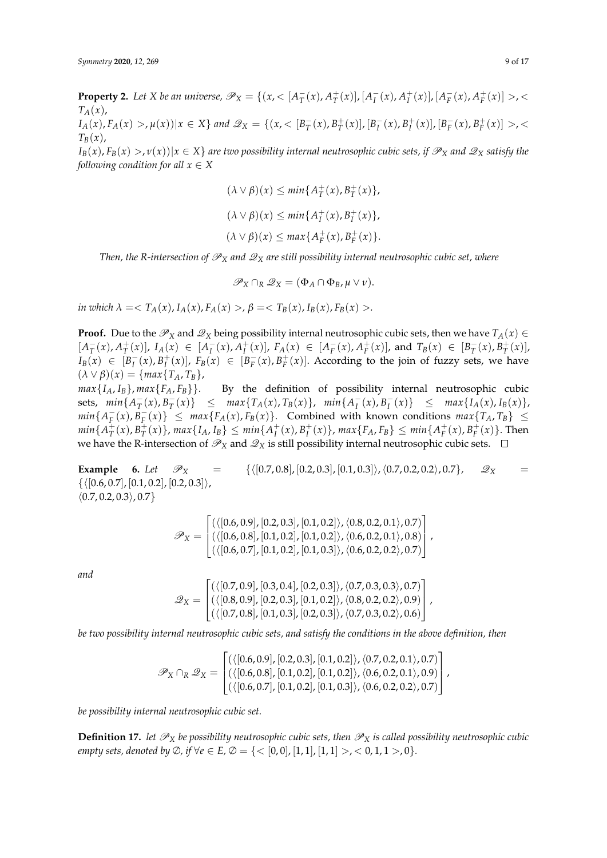**Property 2.** Let X be an universe,  $\mathscr{P}_X = \{(x, \langle [A_T^-(x), A_T^+(x)], [A_I^-(x), A_I^+(x)], [A_F^-(x), A_F^+(x)]\rangle\},\$ *TA*(*x*),  $I_A(x), F_A(x) > \mu(x) |x \in X$  and  $\mathcal{Q}_X = \{(x, \langle [B_T^-(x), B_T^+(x)], [B_I^-(x), B_I^+(x)], [B_F^-(x), B_F^+(x)] \rangle\}$  $T_B(x)$ ,

 $I_B(x)$ ,  $F_B(x) > v(x)$  | $x \in X$  *are two possibility internal neutrosophic cubic sets, if*  $\mathcal{P}_X$  *<i>and*  $\mathcal{Q}_X$  *satisfy the following condition for all*  $x \in X$ 

$$
(\lambda \vee \beta)(x) \le \min\{A_T^+(x), B_T^+(x)\},
$$
  

$$
(\lambda \vee \beta)(x) \le \min\{A_I^+(x), B_I^+(x)\},
$$
  

$$
(\lambda \vee \beta)(x) \le \max\{A_F^+(x), B_F^+(x)\}.
$$

*Then, the R-intersection of*  $\mathcal{P}_X$  *and*  $\mathcal{Q}_X$  *are still possibility internal neutrosophic cubic set, where* 

$$
\mathscr{P}_X \cap_R \mathscr{Q}_X = (\Phi_A \cap \Phi_B, \mu \vee \nu).
$$

in which  $\lambda = \langle T_A(x), I_A(x), F_A(x) \rangle$ ,  $\beta = \langle T_B(x), I_B(x), F_B(x) \rangle$ .

**Proof.** Due to the  $\mathscr{P}_X$  and  $\mathscr{Q}_X$  being possibility internal neutrosophic cubic sets, then we have  $T_A(x) \in$  $[A_T^-(x), A_T^+(x)], I_A(x) \in [A_I^-(x), A_I^+(x)], F_A(x) \in [A_F^-(x), A_F^+(x)],$  and  $T_B(x) \in [B_T^-(x), B_T^+(x)],$  $I_B(x) \in [B_I^-(x), B_I^+(x)], F_B(x) \in [B_F^-(x), B_F^+(x)].$  According to the join of fuzzy sets, we have  $(\lambda \vee \beta)(x) = \{max\{T_A, T_B\},\}$ 

 $max{I_A, I_B}, max{F_A, F_B}$ . By the definition of possibility internal neutrosophic cubic sets,  $min{A_T^-(x), B_T^-(x)} \le max{T_A(x), T_B(x)}, min{A_I^-(x), B_I^-(x)} \le max{I_A(x), I_B(x)},$  $min\{A_F^-(x), B_F^-(x)\}\leq max\{F_A(x), F_B(x)\}.$  Combined with known conditions  $max\{T_A, T_B\}\leq$  $min\{A_T^+(x),B_T^+(x)\}$ ,  $max\{I_A,I_B\} \leq min\{A_I^+(x),B_I^+(x)\}$ ,  $max\{F_A,F_B\} \leq min\{A_F^+(x),B_F^+(x)\}$ . Then we have the R-intersection of  $\mathcal{P}_X$  and  $\mathcal{Q}_X$  is still possibility internal neutrosophic cubic sets.  $\Box$ 

**Example 6.** *Let*  $\mathscr{P}_X$  = { $\{([0.7, 0.8], [0.2, 0.3], [0.1, 0.3]\}, \langle 0.7, 0.2, 0.2 \rangle, 0.7\}$ *,*  $\mathscr{Q}_X$  =  $\{ \langle [0.6, 0.7], [0.1, 0.2], [0.2, 0.3] \rangle,$  $(0.7, 0.2, 0.3), 0.7\}$ 

$$
\mathscr{P}_X = \begin{bmatrix} (\langle [0.6, 0.9], [0.2, 0.3], [0.1, 0.2] \rangle, \langle 0.8, 0.2, 0.1 \rangle, 0.7) \\ (\langle [0.6, 0.8], [0.1, 0.2], [0.1, 0.2] \rangle, \langle 0.6, 0.2, 0.1 \rangle, 0.8) \\ (\langle [0.6, 0.7], [0.1, 0.2], [0.1, 0.3] \rangle, \langle 0.6, 0.2, 0.2 \rangle, 0.7) \end{bmatrix},
$$

*and*

$$
\mathcal{Q}_X = \begin{bmatrix} (\langle [0.7, 0.9], [0.3, 0.4], [0.2, 0.3] \rangle, \langle 0.7, 0.3, 0.3 \rangle, 0.7) \\ (\langle [0.8, 0.9], [0.2, 0.3], [0.1, 0.2] \rangle, \langle 0.8, 0.2, 0.2 \rangle, 0.9) \\ (\langle [0.7, 0.8], [0.1, 0.3], [0.2, 0.3] \rangle, \langle 0.7, 0.3, 0.2 \rangle, 0.6) \end{bmatrix},
$$

*be two possibility internal neutrosophic cubic sets, and satisfy the conditions in the above definition, then*

$$
\mathscr{P}_X \cap_R \mathscr{Q}_X = \begin{bmatrix} (\langle [0.6, 0.9], [0.2, 0.3], [0.1, 0.2] \rangle, \langle 0.7, 0.2, 0.1 \rangle, 0.7) \\ (\langle [0.6, 0.8], [0.1, 0.2], [0.1, 0.2] \rangle, \langle 0.6, 0.2, 0.1 \rangle, 0.9) \\ (\langle [0.6, 0.7], [0.1, 0.2], [0.1, 0.3] \rangle, \langle 0.6, 0.2, 0.2 \rangle, 0.7) \end{bmatrix},
$$

*be possibility internal neutrosophic cubic set.*

**Definition 17.** *let*  $\mathscr{P}_X$  *be possibility neutrosophic cubic sets, then*  $\mathscr{P}_X$  *is called possibility neutrosophic cubic empty sets, denoted by*  $\emptyset$ *, if*  $\forall e \in E$ *,*  $\emptyset = \{ < [0, 0], [1, 1], [1, 1] >$ *,*  $< 0, 1, 1 >$ *,* 0 $\}$ *.*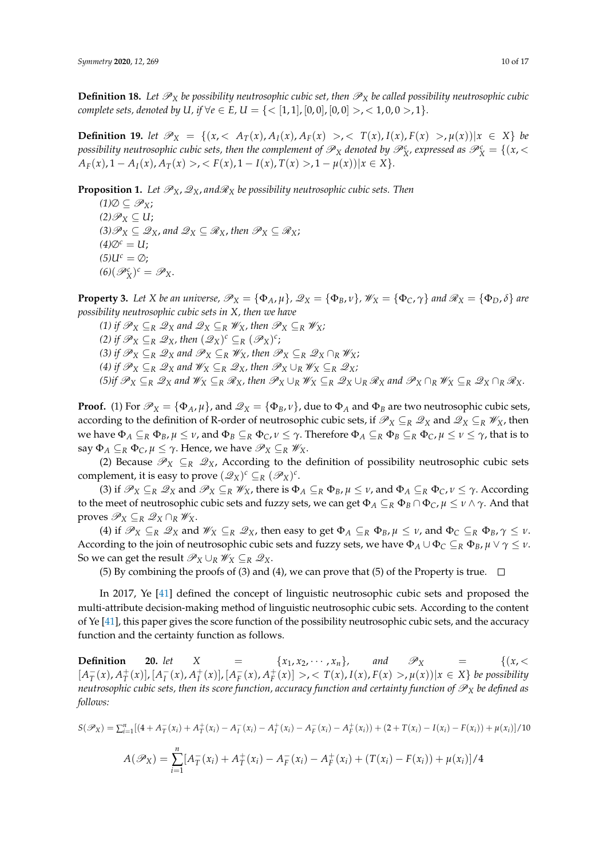**Definition 18.** Let  $\mathcal{P}_X$  be possibility neutrosophic cubic set, then  $\mathcal{P}_X$  be called possibility neutrosophic cubic *complete sets, denoted by U, if*  $\forall e \in E$ ,  $U = \{ < [1, 1], [0, 0], [0, 0] > 0, < 1, 0, 0 > 1 \}.$ 

**Definition 19.** let  $\mathcal{P}_X = \{(x, \langle A_T(x), A_I(x), A_F(x) \rangle, \langle A_F(x), A_F(x), A_F(x) \rangle, \langle A_F(x), A_F(x) \rangle\}$ *possibility neutrosophic cubic sets, then the complement of*  $\mathscr{P}_X$  *denoted by*  $\mathscr{P}^c_X$ *, expressed as*  $\mathscr{P}^c_X=\{(x,<\)$  $A_F(x), 1 - A_I(x), A_T(x) > 0 < F(x), 1 - I(x), T(x) > 0, 1 - \mu(x)$ 

**Proposition 1.** Let  $\mathscr{P}_X$ ,  $\mathscr{Q}_X$ , and  $\mathscr{R}_X$  be possibility neutrosophic cubic sets. Then

 $(1)$ ∅ ⊆  $\mathscr{P}_X$ ;  $(2)$  $\mathscr{P}_X$  ⊆ *U*;  $(3)$   $\mathscr{P}_X$  ⊆  $\mathscr{Q}_X$ , and  $\mathscr{Q}_X$  ⊆  $\mathscr{R}_X$ , then  $\mathscr{P}_X$  ⊆  $\mathscr{R}_X$ ;  $(4)$  $\oslash$ <sup>c</sup> = U;  $(5)U^c = \emptyset;$  $(6)(\mathscr{P}_X^c)^c = \mathscr{P}_X.$ 

**Property 3.** Let X be an universe,  $\mathscr{P}_X = {\phi_A, \mu}$ ,  $\mathscr{Q}_X = {\phi_B, \nu}$ ,  $\mathscr{W}_X = {\phi_C, \gamma}$  and  $\mathscr{R}_X = {\phi_D, \delta}$  are *possibility neutrosophic cubic sets in X, then we have*

*(1)* if  $\mathscr{P}_X \subseteq_R \mathscr{Q}_X$  and  $\mathscr{Q}_X \subseteq_R \mathscr{W}_X$ , then  $\mathscr{P}_X \subseteq_R \mathscr{W}_X$ ; *(2)* if  $\mathscr{P}_X$  ⊆<sub>*R*</sub>  $\mathscr{Q}_X$ *, then*  $(\mathscr{Q}_X)^c$  ⊆<sub>*R*</sub>  $(\mathscr{P}_X)^c$ ; *(3)* if  $\mathscr{P}_X \subseteq_R \mathscr{Q}_X$  and  $\mathscr{P}_X \subseteq_R \mathscr{W}_X$ , then  $\mathscr{P}_X \subseteq_R \mathscr{Q}_X \cap_R \mathscr{W}_X$ ; *(4) if*  $\mathscr{P}_X \subseteq_R \mathscr{Q}_X$  and  $\mathscr{W}_X \subseteq_R \mathscr{Q}_X$ , then  $\mathscr{P}_X \cup_R \mathscr{W}_X \subseteq_R \mathscr{Q}_X$ ; (5)if  $\mathcal{P}_X \subseteq_R \mathcal{Q}_X$  and  $\mathcal{W}_X \subseteq_R \mathcal{R}_X$ , then  $\mathcal{P}_X \cup_R \mathcal{W}_X \subseteq_R \mathcal{Q}_X \cup_R \mathcal{R}_X$  and  $\mathcal{P}_X \cap_R \mathcal{W}_X \subseteq_R \mathcal{Q}_X \cap_R \mathcal{R}_X$ .

**Proof.** (1) For  $\mathcal{P}_X = {\phi_A, \mu}$ , and  $\mathcal{Q}_X = {\phi_B, \nu}$ , due to  $\Phi_A$  and  $\Phi_B$  are two neutrosophic cubic sets, according to the definition of R-order of neutrosophic cubic sets, if  $\mathscr{P}_X \subseteq_R \mathscr{Q}_X$  and  $\mathscr{Q}_X \subseteq_R \mathscr{W}_X$ , then *we* have  $\Phi$ <sub>*A*</sub> ⊆*R*  $\Phi$ *B*,  $\mu$  ≤ *ν*, and  $\Phi$ *B* ⊆*R*  $\Phi$ *C*,  $\nu$  ≤ γ. Therefore  $\Phi$ <sub>*A*</sub> ⊆*R*  $\Phi$ *B* ⊆*R*  $\Phi$ *C*,  $\mu$  ≤  $\nu$  ≤ γ, that is to say  $\Phi_A \subseteq_R \Phi_C$ ,  $\mu \leq \gamma$ . Hence, we have  $\mathscr{P}_X \subseteq_R \mathscr{W}_X$ .

(2) Because  $\mathscr{P}_X \subseteq_R \mathscr{Q}_X$ , According to the definition of possibility neutrosophic cubic sets complement, it is easy to prove  $(\mathscr{Q}_X)^c \subseteq_R (\mathscr{P}_X)^c$ .

(3) if  $\mathcal{P}_X \subseteq_R \mathcal{Q}_X$  and  $\mathcal{P}_X \subseteq_R \mathcal{W}_X$ , there is  $\Phi_A \subseteq_R \Phi_B$ ,  $\mu \leq \nu$ , and  $\Phi_A \subseteq_R \Phi_C$ ,  $\nu \leq \gamma$ . According to the meet of neutrosophic cubic sets and fuzzy sets, we can get  $\Phi_A \subseteq_R \Phi_B \cap \Phi_C$ ,  $\mu \leq \nu \wedge \gamma$ . And that proves  $\mathscr{P}_X \subseteq_R \mathscr{Q}_X \cap_R \mathscr{W}_X$ .

(4) if  $\mathcal{P}_X \subseteq_R \mathcal{Q}_X$  and  $\mathcal{W}_X \subseteq_R \mathcal{Q}_X$ , then easy to get  $\Phi_A \subseteq_R \Phi_B$ ,  $\mu \leq \nu$ , and  $\Phi_C \subseteq_R \Phi_B$ ,  $\gamma \leq \nu$ . According to the join of neutrosophic cubic sets and fuzzy sets, we have  $\Phi_A \cup \Phi_C \subseteq_R \Phi_B$ ,  $\mu \vee \gamma \leq \nu$ . So we can get the result  $\mathscr{P}_X \cup_R \mathscr{W}_X \subseteq_R \mathscr{Q}_X$ .

(5) By combining the proofs of (3) and (4), we can prove that (5) of the Property is true.  $\Box$ 

In 2017, Ye [\[41\]](#page-16-18) defined the concept of linguistic neutrosophic cubic sets and proposed the multi-attribute decision-making method of linguistic neutrosophic cubic sets. According to the content of Ye [\[41\]](#page-16-18), this paper gives the score function of the possibility neutrosophic cubic sets, and the accuracy function and the certainty function as follows.

**Definition** 20. *let*  $X = \{x_1, x_2, \dots, x_n\}$ , and  $\mathcal{P}_X = \{ (x, \leq)$  $[A_T^-(x), A_T^+(x)], [A_I^-(x), A_I^+(x)], [A_F^-(x), A_F^+(x)]>, < T(x), I(x), F(x)>, \mu(x))|x \in X\}$  be possibility *neutrosophic cubic sets, then its score function, accuracy function and certainty function of*  $\mathcal{P}_X$  *be defined as follows:*

$$
S(\mathscr{P}_{X}) = \sum_{i=1}^{n} [(4 + A_{T}^{-}(x_{i}) + A_{T}^{+}(x_{i}) - A_{T}^{-}(x_{i}) - A_{T}^{+}(x_{i}) - A_{F}^{-}(x_{i}) - A_{F}^{+}(x_{i})) + (2 + T(x_{i}) - I(x_{i}) - F(x_{i})) + \mu(x_{i})]/10
$$
  

$$
A(\mathscr{P}_{X}) = \sum_{i=1}^{n} [A_{T}^{-}(x_{i}) + A_{T}^{+}(x_{i}) - A_{F}^{-}(x_{i}) - A_{F}^{+}(x_{i}) + (T(x_{i}) - F(x_{i})) + \mu(x_{i})]/4
$$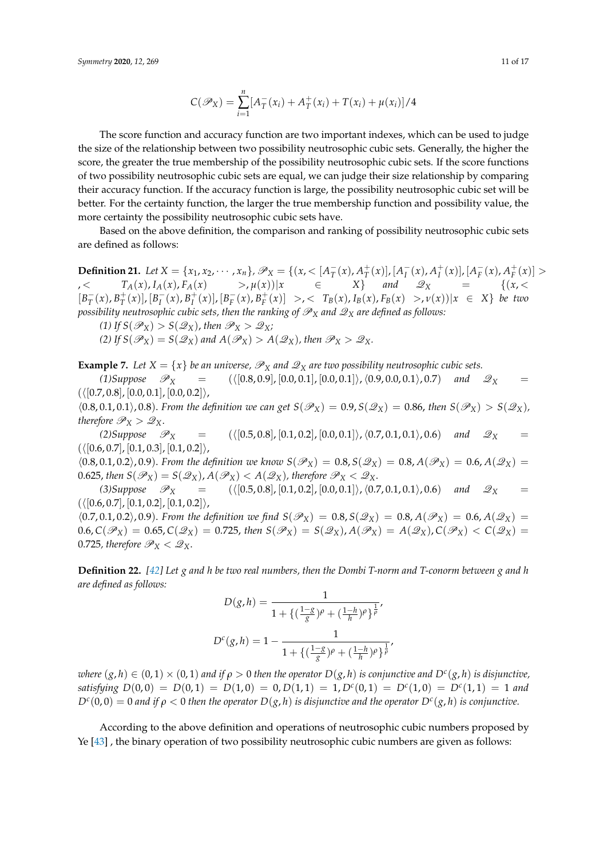$$
C(\mathscr{P}_X) = \sum_{i=1}^n [A_T^-(x_i) + A_T^+(x_i) + T(x_i) + \mu(x_i)]/4
$$

The score function and accuracy function are two important indexes, which can be used to judge the size of the relationship between two possibility neutrosophic cubic sets. Generally, the higher the score, the greater the true membership of the possibility neutrosophic cubic sets. If the score functions of two possibility neutrosophic cubic sets are equal, we can judge their size relationship by comparing their accuracy function. If the accuracy function is large, the possibility neutrosophic cubic set will be better. For the certainty function, the larger the true membership function and possibility value, the more certainty the possibility neutrosophic cubic sets have.

Based on the above definition, the comparison and ranking of possibility neutrosophic cubic sets are defined as follows:

**Definition 21.** Let  $X = \{x_1, x_2, \dots, x_n\}$ ,  $\mathcal{P}_X = \{(x, \langle [A_T^-(x), A_T^+(x)], [A_I^-(x), A_I^+(x)], [A_F^-(x), A_F^+(x)]\rangle\}$ *n* and  $\mathscr{Q}_X$  = {(*x*, < *T*<sub>*A*</sub>(*x*), *F*<sub>*A*</sub>(*x*) → *p*<sub>*A*</sub>(*x*))|*x* ∈ *X*} *and*  $\mathscr{Q}_X$  = {(*x*, <  $[B_T^-(x), B_T^+(x)], [B_I^-(x), B_I^+(x)], [B_F^-(x), B_F^+(x)] \geq, \langle T_B(x), I_B(x), F_B(x) \rangle, \langle T_B(x), I_B(x) \rangle | x \in X$  be two *possibility neutrosophic cubic sets, then the ranking of*  $\mathscr{P}_X$  *and*  $\mathscr{Q}_X$  *are defined as follows:* 

*(1)* If  $S(\mathscr{P}_X) > S(\mathscr{Q}_X)$ , then  $\mathscr{P}_X > \mathscr{Q}_X$ ;

(2) If  $S(\mathscr{P}_X) = S(\mathscr{Q}_X)$  and  $A(\mathscr{P}_X) > A(\mathscr{Q}_X)$ , then  $\mathscr{P}_X > \mathscr{Q}_X$ .

**Example 7.** Let  $X = \{x\}$  be an universe,  $\mathcal{P}_X$  and  $\mathcal{Q}_X$  are two possibility neutrosophic cubic sets.

 $(1)$ *Suppose*  $\mathscr{P}_X$  =  $((0.8, 0.9], [0.0, 0.1], [0.0, 0.1])$ ,  $(0.9, 0.0, 0.1), 0.7)$  *and*  $\mathscr{Q}_X$  $(\langle [0.7, 0.8], [0.0, 0.1], [0.0, 0.2]\rangle,$ 

 $\langle 0.8, 0.1, 0.1 \rangle$ , 0.8). *From the definition we can get*  $S(\mathscr{P}_X) = 0.9$ ,  $S(\mathscr{Q}_X) = 0.86$ , *then*  $S(\mathscr{P}_X) > S(\mathscr{Q}_X)$ , *therefore*  $\mathcal{P}_X > \mathcal{Q}_X$ *.* 

 $(2)$ *Suppose*  $\mathscr{P}_X$  =  $((0.5, 0.8], [0.1, 0.2], [0.0, 0.1])$ ,  $(0.7, 0.1, 0.1), 0.6)$  *and*  $\mathscr{Q}_X$  $(\langle [0.6, 0.7], [0.1, 0.3], [0.1, 0.2]\rangle)$ 

 $\langle 0.8, 0.1, 0.2 \rangle$ , 0.9). *From the definition we know*  $S(\mathscr{P}_X) = 0.8$ ,  $S(\mathscr{Q}_X) = 0.8$ ,  $A(\mathscr{P}_X) = 0.6$ ,  $A(\mathscr{Q}_X) = 0$ 0.625, then  $S(\mathscr{P}_X) = S(\mathscr{Q}_X)$ ,  $A(\mathscr{P}_X) < A(\mathscr{Q}_X)$ , therefore  $\mathscr{P}_X < \mathscr{Q}_X$ .

 $(3)$ Suppose  $\mathscr{P}_X$  =  $(\{[0.5, 0.8], [0.1, 0.2], [0.0, 0.1]\}, (0.7, 0.1, 0.1), 0.6)$  *and*  $\mathscr{Q}_X$  =  $(\langle [0.6, 0.7], [0.1, 0.2], [0.1, 0.2] \rangle,$ 

 $\langle 0.7, 0.1, 0.2 \rangle$ , 0.9). *From the definition we find*  $S(\mathscr{P}_X) = 0.8$ ,  $S(\mathscr{Q}_X) = 0.8$ ,  $A(\mathscr{P}_X) = 0.6$ ,  $A(\mathscr{Q}_X) = 0$  $0.6$ ,  $C(\mathscr{P}_X) = 0.65$ ,  $C(\mathscr{Q}_X) = 0.725$ , then  $S(\mathscr{P}_X) = S(\mathscr{Q}_X)$ ,  $A(\mathscr{P}_X) = A(\mathscr{Q}_X)$ ,  $C(\mathscr{P}_X) < C(\mathscr{Q}_X) = 0$ 0.725*, therefore*  $\mathcal{P}_X < \mathcal{Q}_X$ .

**Definition 22.** *[\[42\]](#page-16-19) Let g and h be two real numbers, then the Dombi T-norm and T-conorm between g and h are defined as follows:*

$$
D(g, h) = \frac{1}{1 + \left\{ \left( \frac{1 - g}{g} \right) \rho + \left( \frac{1 - h}{h} \right) \rho \right\}^{\frac{1}{\rho}}},
$$

$$
D^{c}(g, h) = 1 - \frac{1}{1 + \left\{ \left( \frac{1 - g}{g} \right) \rho + \left( \frac{1 - h}{h} \right) \rho \right\}^{\frac{1}{\rho}}},
$$

 $\alpha$  *where*  $(g,h) \in (0,1) \times (0,1)$  and if  $\rho > 0$  then the operator  $D(g,h)$  is conjunctive and  $D^c(g,h)$  is disjunctive, *satisfying*  $D(0,0) = D(0,1) = D(1,0) = 0, D(1,1) = 1, D<sup>c</sup>(0,1) = D<sup>c</sup>(1,0) = D<sup>c</sup>(1,1) = 1$  and  $D^{c}(0,0) = 0$  and if  $\rho < 0$  then the operator  $D(g,h)$  is disjunctive and the operator  $D^{c}(g,h)$  is conjunctive.

According to the above definition and operations of neutrosophic cubic numbers proposed by Ye [\[43\]](#page-16-20) , the binary operation of two possibility neutrosophic cubic numbers are given as follows: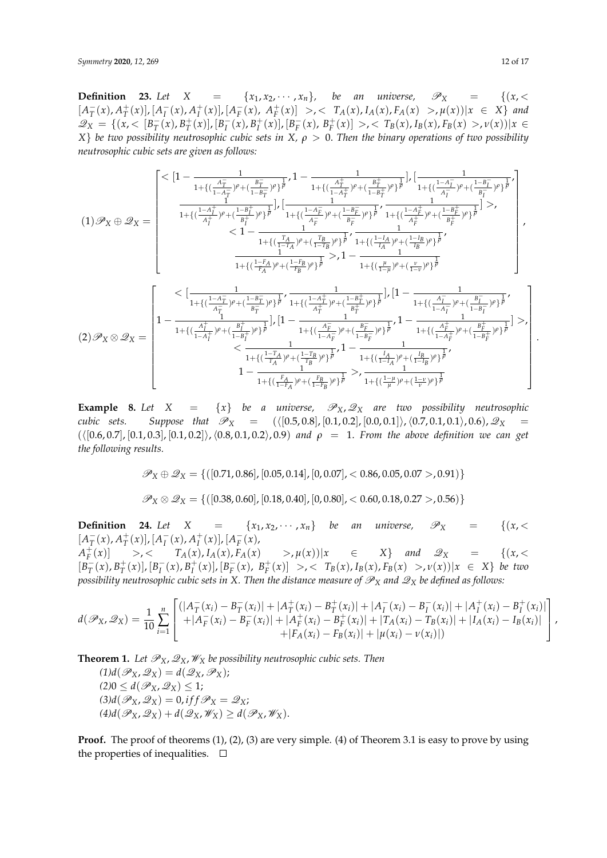**Definition 23.** Let  $X = \{x_1, x_2, \dots, x_n\}$ , be an universe,  $\mathcal{P}_X = \{(x, \leq)$  $[A_T^-(x), A_T^+(x)], [A_I^-(x), A_I^+(x)], [A_F^-(x), A_F^+(x)] \rangle, A_I^+(x), I_A(x), I_A(x), I_A(x) \rangle, A_I(x))|x \in X$  and  $\mathscr{Q}_X = \{ (x, \langle [B_T^-(x), B_T^+(x)], [B_I^-(x), B_I^+(x)], [B_F^-(x), B_F^+(x)] \rangle, \langle T_B(x), I_B(x), F_B(x) \rangle, \nu(x) ) | x \in$ *X*} *be two possibility neutrosophic cubic sets in X, ρ* > 0. *Then the binary operations of two possibility neutrosophic cubic sets are given as follows:*

$$
(1) \mathscr{P}_{X} \oplus \mathscr{Q}_{X} = \begin{bmatrix} < & \left[1 - \frac{1}{1 + \left\{\left(\frac{A_{T}^{-}}{1 - B_{T}^{-}}\right)\beta\right\}}\right]_{1} + \left\{\left(\frac{A_{T}^{+}}{1 - B_{T}^{+}}\right)\beta\right\}}\left[1 - \frac{1}{1 + \left\{\left(\frac{A_{T}^{+}}{1 - B_{T}^{+}}\right)\beta\right\}}\right]_{1} + \left\{\left(\frac{1 - A_{T}^{-}}{1 - B_{T}^{-}}\right)\beta\right\}}\left[1 - \frac{1}{1 + \left\{\left(\frac{1 - A_{T}^{+}}{A_{T}^{-}}\right)\beta + \left(\frac{1 - B_{T}^{+}}{B_{T}^{-}}\right)\beta\right\}}\right]_{1} + \left\{\left(\frac{1 - A_{T}^{+}}{A_{T}^{-}}\right)\beta + \left(\frac{1 - B_{T}^{+}}{B_{T}^{-}}\right)\beta\right\}}\right]_{1} \\ & \left. \left(1 - \frac{1}{1 + \left\{\left(\frac{1 - A_{T}^{+}}{1 - A_{T}^{-}}\right)\beta + \left(\frac{1 - B_{T}^{+}}{1 - B_{T}^{-}}\right)\beta\right\}}\right]_{1} + \left\{\left(\frac{1 - A_{T}^{+}}{1 - A_{T}^{-}}\right)\beta + \left(\frac{1 - B_{T}^{+}}{1 - B_{T}^{-}}\right)\beta\right\}}\right]_{1} \\ & \left. \left. \left(1 - \frac{1}{1 + \left\{\left(\frac{1 - A_{T}^{-}}{1 - A_{T}^{-}}\right)\beta + \left(\frac{1 - B_{T}^{-}}{1 - B_{T}^{-}}\right)\beta\right\}}\right)\right]_{1} \\ & \left. \left. \left(1 - \frac{1}{1 + \left\{\left(\frac{1 - A_{T}^{-}}{A_{T}^{-}}\right)\beta + \left(\frac{1 - B_{T}^{-}}{B_{T}^{-}}\right)\beta\right\}}\right)\right\} - 1 - \frac{1}{1 + \left\{\left(\frac{A_{T}^{-}}{1 - A_{T}^{-}}\right)\beta + \left(\frac{1 - B_{T}^{-}}{1 - B_{T}^{-}}\right)\beta\right\}}\right]_{1} \\ & \left. \left(2\right
$$

**Example 8.** Let  $X = \{x\}$  be a universe,  $\mathcal{P}_X$ ,  $\mathcal{Q}_X$  are two possibility neutrosophic *cubic sets.* Suppose that  $\mathcal{P}_X$  =  $(\langle [0.5, 0.8], [0.1, 0.2], [0.0, 0.1] \rangle, \langle 0.7, 0.1, 0.1 \rangle, 0.6), \mathcal{Q}_X$  =  $(\langle [0.6, 0.7], [0.1, 0.3], [0.1, 0.2] \rangle, \langle 0.8, 0.1, 0.2 \rangle, 0.9)$  *and*  $\rho = 1$ . *From the above definition we can get the following results.*

 $\mathscr{P}_X \oplus \mathscr{Q}_X = \{([0.71, 0.86], [0.05, 0.14], [0, 0.07], < 0.86, 0.05, 0.07, < 0.91)\}\$ 

 $\mathcal{P}_X \otimes \mathcal{Q}_X = \{([0.38, 0.60], [0.18, 0.40], [0, 0.80], < 0.60, 0.18, 0.27, 0.56)\}\$ 

**Definition 24.** Let  $X = \{x_1, x_2, \dots, x_n\}$  be an universe,  $\mathcal{P}_X = \{(x, \leq)$  $[A_T^-(x), A_T^+(x)], [A_I^-(x), A_I^+(x)], [A_F^-(x), A_I^+(x)]$ 

 $A_F^+(x)$  >, <  $T_A(x)$ ,  $I_A(x)$ ,  $F_A(x)$  >,  $\mu(x)$ ) |x  $\in$  X} and  $\mathscr{Q}_X$  = {(x, <  $[B_T^-(x), B_T^+(x)], [B_T^-(x), B_T^+(x)], [B_T^-(x), B_T^+(x)], [B_T^-(x), B_T^+(x)], [B_T^-(x), B_T^+(x)], [B_T^-(x), B_T^+(x)] \rangle > 0$ *possibility neutrosophic cubic sets in X. Then the distance measure of*  $\mathscr{P}_X$  *and*  $\mathscr{Q}_X$  *be defined as follows:* 

$$
d(\mathscr{P}_X, \mathscr{Q}_X) = \frac{1}{10} \sum_{i=1}^n \begin{bmatrix} (|A^-_T(x_i) - B^-_T(x_i)| + |A^+_T(x_i) - B^+_T(x_i)| + |A^-_T(x_i) - B^-_T(x_i)| + |A^+_T(x_i) - B^+_T(x_i)| \\ + |A^-_F(x_i) - B^-_F(x_i)| + |A^+_F(x_i) - B^+_F(x_i)| + |T_A(x_i) - T_B(x_i)| + |I_A(x_i) - I_B(x_i)| \\ + |F_A(x_i) - F_B(x_i)| + |\mu(x_i) - \nu(x_i)|) \end{bmatrix},
$$

**Theorem 1.** Let  $\mathscr{P}_X$ ,  $\mathscr{Q}_X$ ,  $\mathscr{W}_X$  be possibility neutrosophic cubic sets. Then

 $(1)d(\mathscr{P}_X, \mathscr{Q}_X) = d(\mathscr{Q}_X, \mathscr{P}_X);$  $(2)0 \leq d(\mathscr{P}_X, \mathscr{Q}_X) \leq 1;$  $(3)d(\mathscr{P}_X, \mathscr{Q}_X) = 0$ , *i*ff $\mathscr{P}_X = \mathscr{Q}_X$ ;  $(4)d(\mathscr{P}_X, \mathscr{Q}_X) + d(\mathscr{Q}_X, \mathscr{W}_X) \geq d(\mathscr{P}_X, \mathscr{W}_X).$ 

**Proof.** The proof of theorems (1), (2), (3) are very simple. (4) of Theorem 3.1 is easy to prove by using the properties of inequalities.  $\square$ 

.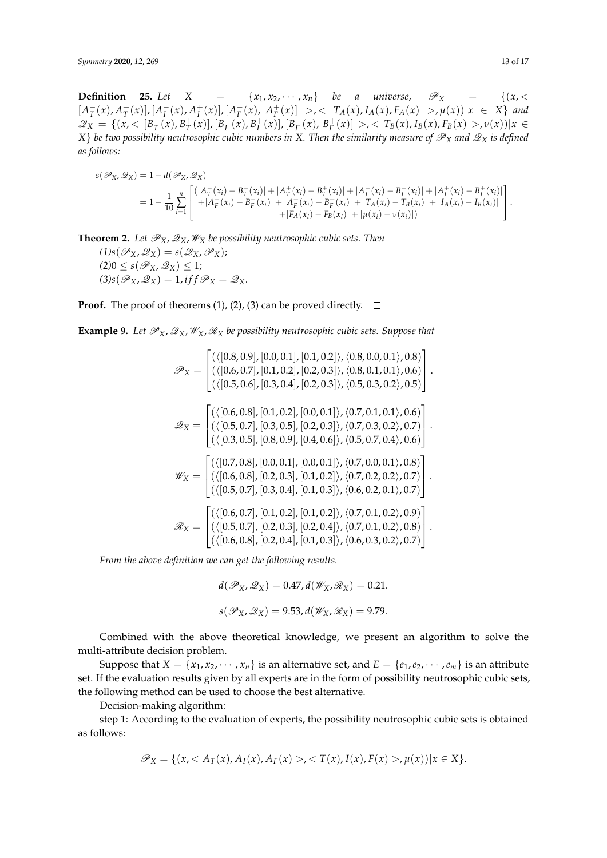**Definition 25.** Let  $X = \{x_1, x_2, \dots, x_n\}$  be a universe,  $\mathcal{P}_X = \{(x, \leq)$  $[A_T^-(x), A_T^+(x)], [A_I^-(x), A_I^+(x)], [A_F^-(x), A_F^+(x)] \rangle, A_I^+(x), I_A(x), I_A(x), I_A(x) \rangle, A_I(x))|x \in X$  and  $\mathscr{Q}_X = \{ (x, \langle [B_T^-(x), B_T^+(x)], [B_I^-(x), B_I^+(x)], [B_F^-(x), B_F^+(x)] \rangle, \langle T_B(x), I_B(x), F_B(x) \rangle, \nu(x) ) | x \in$ *X*} *be two possibility neutrosophic cubic numbers in <i>X*. Then the similarity measure of  $\mathscr{P}_X$  and  $\mathscr{Q}_X$  is defined *as follows:*

$$
s(\mathscr{P}_X, \mathscr{Q}_X) = 1 - d(\mathscr{P}_X, \mathscr{Q}_X)
$$
  
=  $1 - \frac{1}{10} \sum_{i=1}^n \left[ \frac{(|A^-_T(x_i) - B^-_T(x_i)| + |A^+_T(x_i) - B^+_T(x_i)| + |A^-_T(x_i) - B^-_T(x_i)| + |A^+_T(x_i) - B^+_T(x_i)|}{+ |A^-_F(x_i) - B^-_F(x_i)| + |A^+_F(x_i) - B^+_F(x_i)| + |T_A(x_i) - T_B(x_i)| + |I_A(x_i) - I_B(x_i)|} \right].$ 

**Theorem 2.** Let  $\mathscr{P}_X$ ,  $\mathscr{Q}_X$ ,  $\mathscr{W}_X$  be possibility neutrosophic cubic sets. Then  $(1)s(\mathscr{P}_X, \mathscr{Q}_X) = s(\mathscr{Q}_X, \mathscr{P}_X);$  $(2)0 \leq s(\mathscr{P}_X, \mathscr{Q}_X) \leq 1;$  $(3)$ s $(\mathscr{P}_X, \mathscr{Q}_X) = 1$ , *i*ff $\mathscr{P}_X = \mathscr{Q}_X$ .

**Proof.** The proof of theorems (1), (2), (3) can be proved directly.  $\Box$ 

**Example 9.** Let  $\mathscr{P}_X$ ,  $\mathscr{Q}_X$ ,  $\mathscr{W}_X$ ,  $\mathscr{R}_X$  be possibility neutrosophic cubic sets. Suppose that

$$
\mathscr{P}_{X} = \begin{bmatrix}\n\langle \langle [0.8, 0.9], [0.0, 0.1], [0.1, 0.2], \langle 0.8, 0.0, 0.1 \rangle, 0.8) \\
\langle \langle [0.6, 0.7], [0.1, 0.2], [0.2, 0.3], \langle 0.8, 0.1, 0.1 \rangle, 0.6) \\
\langle \langle [0.5, 0.6], [0.3, 0.4], [0.2, 0.3], \langle 0.5, 0.3, 0.2 \rangle, 0.5)\n\end{bmatrix}.
$$
\n
$$
\mathscr{Q}_{X} = \begin{bmatrix}\n\langle \langle [0.6, 0.8], [0.1, 0.2], [0.0, 0.1] \rangle, \langle 0.7, 0.1, 0.1 \rangle, 0.6) \\
\langle \langle [0.5, 0.7], [0.3, 0.5], [0.2, 0.3], \langle 0.7, 0.3, 0.2 \rangle, 0.7] \\
\langle \langle [0.3, 0.5], [0.8, 0.9], [0.4, 0.6] \rangle, \langle 0.5, 0.7, 0.4 \rangle, 0.6)\n\end{bmatrix}.
$$
\n
$$
\mathscr{W}_{X} = \begin{bmatrix}\n\langle \langle [0.7, 0.8], [0.0, 0.1], [0.0, 0.1] \rangle, \langle 0.7, 0.0, 0.1 \rangle, 0.8) \\
\langle \langle [0.6, 0.8], [0.2, 0.3], [0.1, 0.2] \rangle, \langle 0.7, 0.2, 0.2 \rangle, 0.7] \\
\langle \langle [0.5, 0.7], [0.3, 0.4], [0.1, 0.3] \rangle, \langle 0.6, 0.2, 0.1 \rangle, 0.2)\n\end{bmatrix}.
$$
\n
$$
\mathscr{R}_{X} = \begin{bmatrix}\n\langle \langle [0.6, 0.7], [0.1, 0.2], [0.1, 0.2] \rangle, \langle 0.7, 0.1, 0.2 \rangle, 0.9) \\
\langle \langle [0.6, 0.8], [0.2, 0.3], [0.2, 0.4] \rangle, \langle 0.7
$$

*From the above definition we can get the following results.*

$$
d(\mathscr{P}_X, \mathscr{Q}_X) = 0.47, d(\mathscr{W}_X, \mathscr{R}_X) = 0.21.
$$
  

$$
s(\mathscr{P}_X, \mathscr{Q}_X) = 9.53, d(\mathscr{W}_X, \mathscr{R}_X) = 9.79.
$$

Combined with the above theoretical knowledge, we present an algorithm to solve the multi-attribute decision problem.

Suppose that  $X = \{x_1, x_2, \dots, x_n\}$  is an alternative set, and  $E = \{e_1, e_2, \dots, e_m\}$  is an attribute set. If the evaluation results given by all experts are in the form of possibility neutrosophic cubic sets, the following method can be used to choose the best alternative.

Decision-making algorithm:

step 1: According to the evaluation of experts, the possibility neutrosophic cubic sets is obtained as follows:

$$
\mathscr{P}_X = \{ (x, < A_T(x), A_I(x), A_F(x) > \, < T(x), I(x), F(x) > \, \mu(x) ) | x \in X \}.
$$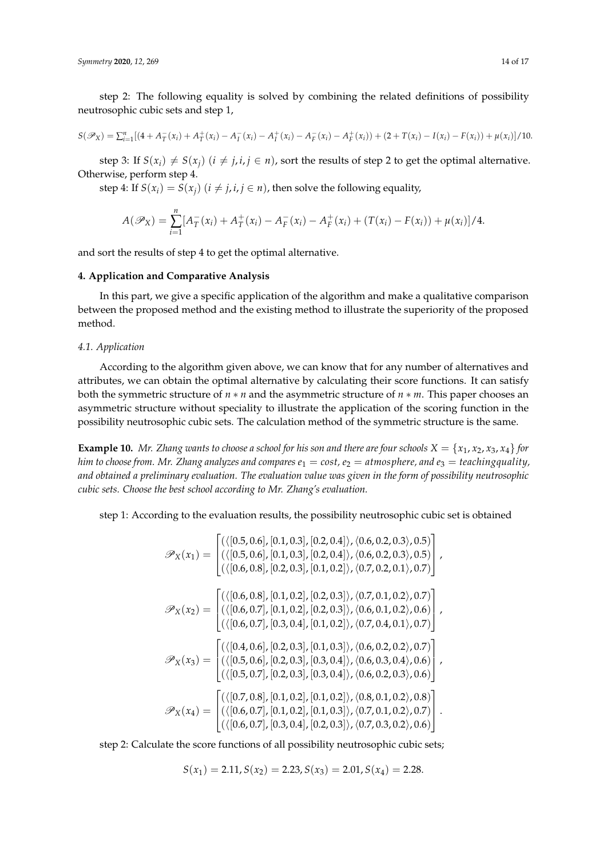step 2: The following equality is solved by combining the related definitions of possibility neutrosophic cubic sets and step 1,

$$
S(\mathscr{P}_X) = \sum_{i=1}^n [(4 + A_T^-(x_i) + A_T^+(x_i) - A_I^-(x_i) - A_I^+(x_i) - A_F^-(x_i) - A_F^+(x_i)) + (2 + T(x_i) - I(x_i) - T(x_i)) + \mu(x_i)]/10.
$$

step 3: If  $S(x_i) \neq S(x_j)$  ( $i \neq j, i, j \in n$ ), sort the results of step 2 to get the optimal alternative. Otherwise, perform step 4.

step 4: If  $S(x_i) = S(x_i)$  ( $i \neq j, i, j \in n$ ), then solve the following equality,

$$
A(\mathscr{P}_X) = \sum_{i=1}^n [A_T^-(x_i) + A_T^+(x_i) - A_F^-(x_i) - A_F^+(x_i) + (T(x_i) - F(x_i)) + \mu(x_i)]/4.
$$

and sort the results of step 4 to get the optimal alternative.

#### **4. Application and Comparative Analysis**

In this part, we give a specific application of the algorithm and make a qualitative comparison between the proposed method and the existing method to illustrate the superiority of the proposed method.

#### *4.1. Application*

According to the algorithm given above, we can know that for any number of alternatives and attributes, we can obtain the optimal alternative by calculating their score functions. It can satisfy both the symmetric structure of *n* ∗ *n* and the asymmetric structure of *n* ∗ *m*. This paper chooses an asymmetric structure without speciality to illustrate the application of the scoring function in the possibility neutrosophic cubic sets. The calculation method of the symmetric structure is the same.

**Example 10.** *Mr. Zhang wants to choose a school for his son and there are four schools*  $X = \{x_1, x_2, x_3, x_4\}$  *for him to choose from. Mr. Zhang analyzes and compares*  $e_1 = \cos t$ ,  $e_2 = \text{atmosphere}$ , and  $e_3 = \text{teachingquality}$ , *and obtained a preliminary evaluation. The evaluation value was given in the form of possibility neutrosophic cubic sets. Choose the best school according to Mr. Zhang's evaluation.*

step 1: According to the evaluation results, the possibility neutrosophic cubic set is obtained

$$
\mathscr{P}_{X}(x_{1}) = \begin{bmatrix}\n\langle \langle [0.5, 0.6], [0.1, 0.3], [0.2, 0.4] \rangle, \langle 0.6, 0.2, 0.3 \rangle, 0.5) \\
\langle \langle [0.5, 0.6], [0.1, 0.3], [0.2, 0.4] \rangle, \langle 0.6, 0.2, 0.3 \rangle, 0.5) \\
\langle \langle [0.6, 0.8], [0.2, 0.3], [0.1, 0.2] \rangle, \langle 0.7, 0.2, 0.1 \rangle, 0.7)\n\end{bmatrix},
$$
\n
$$
\mathscr{P}_{X}(x_{2}) = \begin{bmatrix}\n\langle \langle [0.6, 0.8], [0.1, 0.2], [0.2, 0.3] \rangle, \langle 0.7, 0.1, 0.2 \rangle, 0.7) \\
\langle \langle [0.6, 0.7], [0.1, 0.2], [0.2, 0.3] \rangle, \langle 0.6, 0.1, 0.2 \rangle, 0.6) \\
\langle \langle [0.6, 0.7], [0.3, 0.4], [0.1, 0.2] \rangle, \langle 0.7, 0.4, 0.1 \rangle, 0.7)\n\end{bmatrix},
$$
\n
$$
\mathscr{P}_{X}(x_{3}) = \begin{bmatrix}\n\langle \langle [0.4, 0.6], [0.2, 0.3], [0.1, 0.3] \rangle, \langle 0.6, 0.2, 0.2, 0.2 \rangle, 0.7) \\
\langle \langle [0.5, 0.6], [0.2, 0.3], [0.3, 0.4] \rangle, \langle 0.6, 0.3, 0.4 \rangle, 0.6) \\
\langle \langle [0.5, 0.7], [0.2, 0.3], [0.3, 0.4] \rangle, \langle 0.6, 0.2, 0.3, 0.4 \rangle, 0.6)\n\end{bmatrix},
$$
\n
$$
\mathscr{P}_{X}(x_{4}) = \begin{bmatrix}\n\langle \langle [0.6, 0.7], [0.1, 0.2], [0.1, 0.2] \rangle, \langle 0.8, 0.1, 0.2 \rangle, 0.8) \\
\langle \langle [
$$

step 2: Calculate the score functions of all possibility neutrosophic cubic sets;

$$
S(x_1) = 2.11, S(x_2) = 2.23, S(x_3) = 2.01, S(x_4) = 2.28.
$$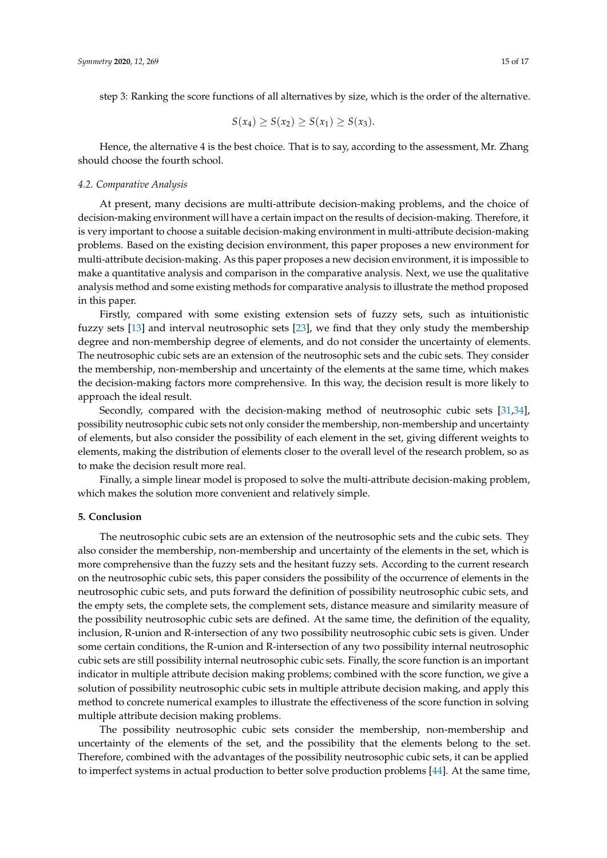step 3: Ranking the score functions of all alternatives by size, which is the order of the alternative.

$$
S(x_4) \ge S(x_2) \ge S(x_1) \ge S(x_3).
$$

Hence, the alternative 4 is the best choice. That is to say, according to the assessment, Mr. Zhang should choose the fourth school.

#### *4.2. Comparative Analysis*

At present, many decisions are multi-attribute decision-making problems, and the choice of decision-making environment will have a certain impact on the results of decision-making. Therefore, it is very important to choose a suitable decision-making environment in multi-attribute decision-making problems. Based on the existing decision environment, this paper proposes a new environment for multi-attribute decision-making. As this paper proposes a new decision environment, it is impossible to make a quantitative analysis and comparison in the comparative analysis. Next, we use the qualitative analysis method and some existing methods for comparative analysis to illustrate the method proposed in this paper.

Firstly, compared with some existing extension sets of fuzzy sets, such as intuitionistic fuzzy sets [\[13\]](#page-15-8) and interval neutrosophic sets [\[23\]](#page-16-0), we find that they only study the membership degree and non-membership degree of elements, and do not consider the uncertainty of elements. The neutrosophic cubic sets are an extension of the neutrosophic sets and the cubic sets. They consider the membership, non-membership and uncertainty of the elements at the same time, which makes the decision-making factors more comprehensive. In this way, the decision result is more likely to approach the ideal result.

Secondly, compared with the decision-making method of neutrosophic cubic sets [\[31,](#page-16-8)[34\]](#page-16-11), possibility neutrosophic cubic sets not only consider the membership, non-membership and uncertainty of elements, but also consider the possibility of each element in the set, giving different weights to elements, making the distribution of elements closer to the overall level of the research problem, so as to make the decision result more real.

Finally, a simple linear model is proposed to solve the multi-attribute decision-making problem, which makes the solution more convenient and relatively simple.

## **5. Conclusion**

The neutrosophic cubic sets are an extension of the neutrosophic sets and the cubic sets. They also consider the membership, non-membership and uncertainty of the elements in the set, which is more comprehensive than the fuzzy sets and the hesitant fuzzy sets. According to the current research on the neutrosophic cubic sets, this paper considers the possibility of the occurrence of elements in the neutrosophic cubic sets, and puts forward the definition of possibility neutrosophic cubic sets, and the empty sets, the complete sets, the complement sets, distance measure and similarity measure of the possibility neutrosophic cubic sets are defined. At the same time, the definition of the equality, inclusion, R-union and R-intersection of any two possibility neutrosophic cubic sets is given. Under some certain conditions, the R-union and R-intersection of any two possibility internal neutrosophic cubic sets are still possibility internal neutrosophic cubic sets. Finally, the score function is an important indicator in multiple attribute decision making problems; combined with the score function, we give a solution of possibility neutrosophic cubic sets in multiple attribute decision making, and apply this method to concrete numerical examples to illustrate the effectiveness of the score function in solving multiple attribute decision making problems.

The possibility neutrosophic cubic sets consider the membership, non-membership and uncertainty of the elements of the set, and the possibility that the elements belong to the set. Therefore, combined with the advantages of the possibility neutrosophic cubic sets, it can be applied to imperfect systems in actual production to better solve production problems [\[44\]](#page-16-21). At the same time,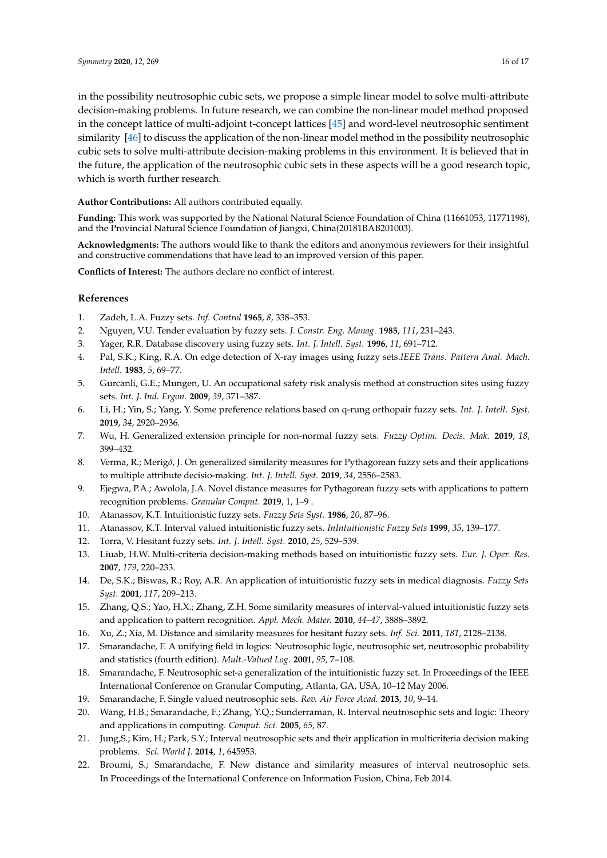in the possibility neutrosophic cubic sets, we propose a simple linear model to solve multi-attribute decision-making problems. In future research, we can combine the non-linear model method proposed in the concept lattice of multi-adjoint t-concept lattices [\[45\]](#page-16-22) and word-level neutrosophic sentiment similarity [\[46\]](#page-16-23) to discuss the application of the non-linear model method in the possibility neutrosophic cubic sets to solve multi-attribute decision-making problems in this environment. It is believed that in the future, the application of the neutrosophic cubic sets in these aspects will be a good research topic, which is worth further research.

**Author Contributions:** All authors contributed equally.

**Funding:** This work was supported by the National Natural Science Foundation of China (11661053, 11771198), and the Provincial Natural Science Foundation of Jiangxi, China(20181BAB201003).

**Acknowledgments:** The authors would like to thank the editors and anonymous reviewers for their insightful and constructive commendations that have lead to an improved version of this paper.

**Conflicts of Interest:** The authors declare no conflict of interest.

#### **References**

- <span id="page-15-0"></span>1. Zadeh, L.A. Fuzzy sets. *Inf. Control* **1965**, *8*, 338–353.
- <span id="page-15-1"></span>2. Nguyen, V.U. Tender evaluation by fuzzy sets. *J. Constr. Eng. Manag.* **1985**, *111*, 231–243.
- 3. Yager, R.R. Database discovery using fuzzy sets. *Int. J. Intell. Syst.* **1996**, *11*, 691–712.
- 4. Pal, S.K.; King, R.A. On edge detection of X-ray images using fuzzy sets.*IEEE Trans. Pattern Anal. Mach. Intell.* **1983**, *5*, 69–77.
- <span id="page-15-2"></span>5. Gurcanli, G.E.; Mungen, U. An occupational safety risk analysis method at construction sites using fuzzy sets. *Int. J. Ind. Ergon.* **2009**, *39*, 371–387.
- <span id="page-15-3"></span>6. Li, H.; Yin, S.; Yang, Y. Some preference relations based on q-rung orthopair fuzzy sets. *Int. J. Intell. Syst.* **2019**, *34*, 2920–2936.
- 7. Wu, H. Generalized extension principle for non-normal fuzzy sets. *Fuzzy Optim. Decis. Mak.* **2019**, *18*, 399–432.
- 8. Verma, R.; Merig*o*´, J. On generalized similarity measures for Pythagorean fuzzy sets and their applications to multiple attribute decisio-making. *Int. J. Intell. Syst.* **2019**, *34*, 2556–2583.
- <span id="page-15-4"></span>9. Ejegwa, P.A.; Awolola, J.A. Novel distance measures for Pythagorean fuzzy sets with applications to pattern recognition problems. *Granular Comput.* **2019**, 1, 1–9 .
- <span id="page-15-5"></span>10. Atanassov, K.T. Intuitionistic fuzzy sets. *Fuzzy Sets Syst.* **1986**, *20*, 87–96.
- <span id="page-15-6"></span>11. Atanassov, K.T. Interval valued intuitionistic fuzzy sets. *InIntuitionistic Fuzzy Sets* **1999**, *35*, 139–177.
- <span id="page-15-7"></span>12. Torra, V. Hesitant fuzzy sets. *Int. J. Intell. Syst.* **2010**, *25*, 529–539.
- <span id="page-15-8"></span>13. Liuab, H.W. Multi-criteria decision-making methods based on intuitionistic fuzzy sets. *Eur. J. Oper. Res.* **2007**, *179*, 220–233.
- 14. De, S.K.; Biswas, R.; Roy, A.R. An application of intuitionistic fuzzy sets in medical diagnosis. *Fuzzy Sets Syst.* **2001**, *117*, 209–213.
- 15. Zhang, Q.S.; Yao, H.X.; Zhang, Z.H. Some similarity measures of interval-valued intuitionistic fuzzy sets and application to pattern recognition. *Appl. Mech. Mater.* **2010**, *44–47*, 3888–3892.
- <span id="page-15-9"></span>16. Xu, Z.; Xia, M. Distance and similarity measures for hesitant fuzzy sets. *Inf. Sci.* **2011**, *181*, 2128–2138.
- <span id="page-15-10"></span>17. Smarandache, F. A unifying field in logics: Neutrosophic logic, neutrosophic set, neutrosophic probability and statistics (fourth edition). *Mult.-Valued Log.* **2001**, *95*, 7–108.
- <span id="page-15-11"></span>18. Smarandache, F. Neutrosophic set-a generalization of the intuitionistic fuzzy set. In Proceedings of the IEEE International Conference on Granular Computing, Atlanta, GA, USA, 10–12 May 2006.
- <span id="page-15-12"></span>19. Smarandache, F. Single valued neutrosophic sets. *Rev. Air Force Acad.* **2013**, *10*, 9–14.
- <span id="page-15-13"></span>20. Wang, H.B.; Smarandache, F.; Zhang, Y.Q.; Sunderraman, R. Interval neutrosophic sets and logic: Theory and applications in computing. *Comput. Sci.* **2005**, *65*, 87.
- <span id="page-15-14"></span>21. Jung,S.; Kim, H.; Park, S.Y.; Interval neutrosophic sets and their application in multicriteria decision making problems. *Sci. World J.* **2014**, *1*, 645953.
- 22. Broumi, S.; Smarandache, F. New distance and similarity measures of interval neutrosophic sets. In Proceedings of the International Conference on Information Fusion, China, Feb 2014.